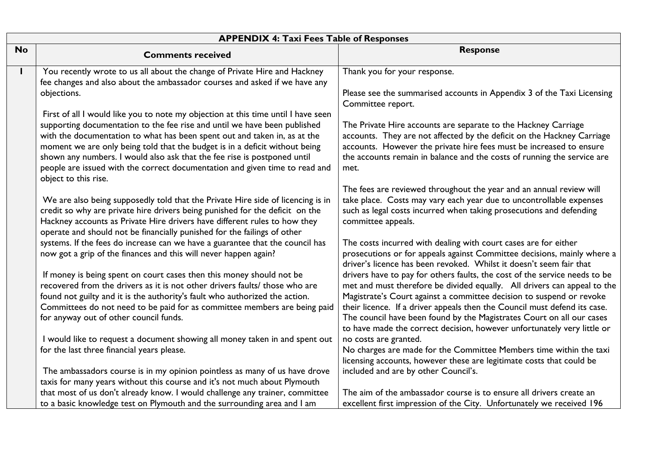|              | <b>APPENDIX 4: Taxi Fees Table of Responses</b>                                                                                                                                                                                                                                                                                                                                                                                                                                                               |                                                                                                                                                                                                                                                                                                                                                                                                                                                                 |  |
|--------------|---------------------------------------------------------------------------------------------------------------------------------------------------------------------------------------------------------------------------------------------------------------------------------------------------------------------------------------------------------------------------------------------------------------------------------------------------------------------------------------------------------------|-----------------------------------------------------------------------------------------------------------------------------------------------------------------------------------------------------------------------------------------------------------------------------------------------------------------------------------------------------------------------------------------------------------------------------------------------------------------|--|
| <b>No</b>    | <b>Comments received</b>                                                                                                                                                                                                                                                                                                                                                                                                                                                                                      | <b>Response</b>                                                                                                                                                                                                                                                                                                                                                                                                                                                 |  |
| $\mathbf{I}$ | You recently wrote to us all about the change of Private Hire and Hackney<br>fee changes and also about the ambassador courses and asked if we have any<br>objections.                                                                                                                                                                                                                                                                                                                                        | Thank you for your response.<br>Please see the summarised accounts in Appendix 3 of the Taxi Licensing<br>Committee report.                                                                                                                                                                                                                                                                                                                                     |  |
|              | First of all I would like you to note my objection at this time until I have seen<br>supporting documentation to the fee rise and until we have been published<br>with the documentation to what has been spent out and taken in, as at the<br>moment we are only being told that the budget is in a deficit without being<br>shown any numbers. I would also ask that the fee rise is postponed until<br>people are issued with the correct documentation and given time to read and<br>object to this rise. | The Private Hire accounts are separate to the Hackney Carriage<br>accounts. They are not affected by the deficit on the Hackney Carriage<br>accounts. However the private hire fees must be increased to ensure<br>the accounts remain in balance and the costs of running the service are<br>met.                                                                                                                                                              |  |
|              | We are also being supposedly told that the Private Hire side of licencing is in<br>credit so why are private hire drivers being punished for the deficit on the<br>Hackney accounts as Private Hire drivers have different rules to how they<br>operate and should not be financially punished for the failings of other                                                                                                                                                                                      | The fees are reviewed throughout the year and an annual review will<br>take place. Costs may vary each year due to uncontrollable expenses<br>such as legal costs incurred when taking prosecutions and defending<br>committee appeals.                                                                                                                                                                                                                         |  |
|              | systems. If the fees do increase can we have a guarantee that the council has<br>now got a grip of the finances and this will never happen again?                                                                                                                                                                                                                                                                                                                                                             | The costs incurred with dealing with court cases are for either<br>prosecutions or for appeals against Committee decisions, mainly where a<br>driver's licence has been revoked. Whilst it doesn't seem fair that                                                                                                                                                                                                                                               |  |
|              | If money is being spent on court cases then this money should not be<br>recovered from the drivers as it is not other drivers faults/ those who are<br>found not guilty and it is the authority's fault who authorized the action.<br>Committees do not need to be paid for as committee members are being paid<br>for anyway out of other council funds.                                                                                                                                                     | drivers have to pay for others faults, the cost of the service needs to be<br>met and must therefore be divided equally. All drivers can appeal to the<br>Magistrate's Court against a committee decision to suspend or revoke<br>their licence. If a driver appeals then the Council must defend its case.<br>The council have been found by the Magistrates Court on all our cases<br>to have made the correct decision, however unfortunately very little or |  |
|              | I would like to request a document showing all money taken in and spent out<br>for the last three financial years please.                                                                                                                                                                                                                                                                                                                                                                                     | no costs are granted.<br>No charges are made for the Committee Members time within the taxi<br>licensing accounts, however these are legitimate costs that could be                                                                                                                                                                                                                                                                                             |  |
|              | The ambassadors course is in my opinion pointless as many of us have drove<br>taxis for many years without this course and it's not much about Plymouth<br>that most of us don't already know. I would challenge any trainer, committee                                                                                                                                                                                                                                                                       | included and are by other Council's.<br>The aim of the ambassador course is to ensure all drivers create an                                                                                                                                                                                                                                                                                                                                                     |  |
|              | to a basic knowledge test on Plymouth and the surrounding area and I am                                                                                                                                                                                                                                                                                                                                                                                                                                       | excellent first impression of the City. Unfortunately we received 196                                                                                                                                                                                                                                                                                                                                                                                           |  |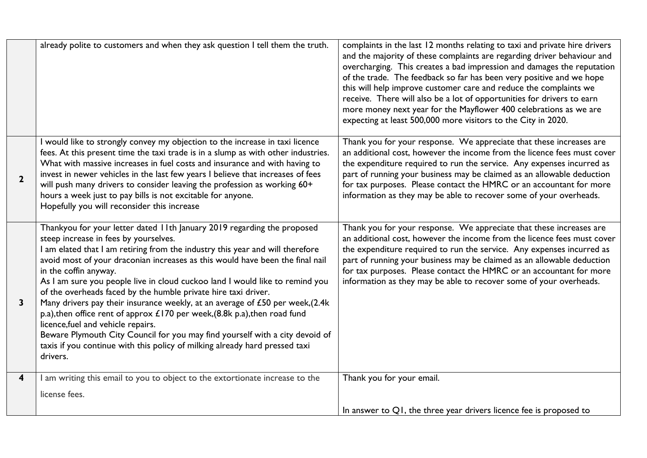|                | already polite to customers and when they ask question I tell them the truth.                                                                                                                                                                                                                                                                                                                                                                                                                                                                                                                                                                                                                                                                                                                                                                   | complaints in the last 12 months relating to taxi and private hire drivers<br>and the majority of these complaints are regarding driver behaviour and<br>overcharging. This creates a bad impression and damages the reputation<br>of the trade. The feedback so far has been very positive and we hope<br>this will help improve customer care and reduce the complaints we<br>receive. There will also be a lot of opportunities for drivers to earn<br>more money next year for the Mayflower 400 celebrations as we are<br>expecting at least 500,000 more visitors to the City in 2020. |
|----------------|-------------------------------------------------------------------------------------------------------------------------------------------------------------------------------------------------------------------------------------------------------------------------------------------------------------------------------------------------------------------------------------------------------------------------------------------------------------------------------------------------------------------------------------------------------------------------------------------------------------------------------------------------------------------------------------------------------------------------------------------------------------------------------------------------------------------------------------------------|----------------------------------------------------------------------------------------------------------------------------------------------------------------------------------------------------------------------------------------------------------------------------------------------------------------------------------------------------------------------------------------------------------------------------------------------------------------------------------------------------------------------------------------------------------------------------------------------|
| $\overline{2}$ | I would like to strongly convey my objection to the increase in taxi licence<br>fees. At this present time the taxi trade is in a slump as with other industries.<br>What with massive increases in fuel costs and insurance and with having to<br>invest in newer vehicles in the last few years I believe that increases of fees<br>will push many drivers to consider leaving the profession as working 60+<br>hours a week just to pay bills is not excitable for anyone.<br>Hopefully you will reconsider this increase                                                                                                                                                                                                                                                                                                                    | Thank you for your response. We appreciate that these increases are<br>an additional cost, however the income from the licence fees must cover<br>the expenditure required to run the service. Any expenses incurred as<br>part of running your business may be claimed as an allowable deduction<br>for tax purposes. Please contact the HMRC or an accountant for more<br>information as they may be able to recover some of your overheads.                                                                                                                                               |
| $\mathbf{3}$   | Thankyou for your letter dated 11th January 2019 regarding the proposed<br>steep increase in fees by yourselves.<br>I am elated that I am retiring from the industry this year and will therefore<br>avoid most of your draconian increases as this would have been the final nail<br>in the coffin anyway.<br>As I am sure you people live in cloud cuckoo land I would like to remind you<br>of the overheads faced by the humble private hire taxi driver.<br>Many drivers pay their insurance weekly, at an average of £50 per week, (2.4k<br>p.a), then office rent of approx $£170$ per week, (8.8k p.a), then road fund<br>licence, fuel and vehicle repairs.<br>Beware Plymouth City Council for you may find yourself with a city devoid of<br>taxis if you continue with this policy of milking already hard pressed taxi<br>drivers. | Thank you for your response. We appreciate that these increases are<br>an additional cost, however the income from the licence fees must cover<br>the expenditure required to run the service. Any expenses incurred as<br>part of running your business may be claimed as an allowable deduction<br>for tax purposes. Please contact the HMRC or an accountant for more<br>information as they may be able to recover some of your overheads.                                                                                                                                               |
| 4              | I am writing this email to you to object to the extortionate increase to the                                                                                                                                                                                                                                                                                                                                                                                                                                                                                                                                                                                                                                                                                                                                                                    | Thank you for your email.                                                                                                                                                                                                                                                                                                                                                                                                                                                                                                                                                                    |
|                | license fees.                                                                                                                                                                                                                                                                                                                                                                                                                                                                                                                                                                                                                                                                                                                                                                                                                                   |                                                                                                                                                                                                                                                                                                                                                                                                                                                                                                                                                                                              |
|                |                                                                                                                                                                                                                                                                                                                                                                                                                                                                                                                                                                                                                                                                                                                                                                                                                                                 | In answer to Q1, the three year drivers licence fee is proposed to                                                                                                                                                                                                                                                                                                                                                                                                                                                                                                                           |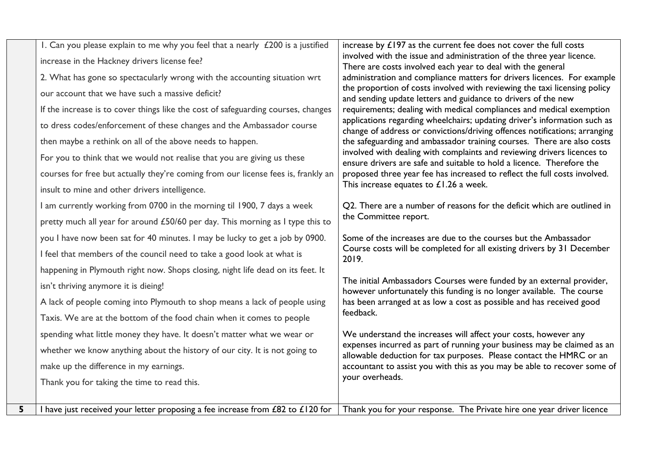| 5 | I have just received your letter proposing a fee increase from $E82$ to $E120$ for | Thank you for your response. The Private hire one year driver licence                                                                                   |
|---|------------------------------------------------------------------------------------|---------------------------------------------------------------------------------------------------------------------------------------------------------|
|   | Thank you for taking the time to read this.                                        | your overheads.                                                                                                                                         |
|   | make up the difference in my earnings.                                             | accountant to assist you with this as you may be able to recover some of                                                                                |
|   | whether we know anything about the history of our city. It is not going to         | expenses incurred as part of running your business may be claimed as an<br>allowable deduction for tax purposes. Please contact the HMRC or an          |
|   | spending what little money they have. It doesn't matter what we wear or            | We understand the increases will affect your costs, however any                                                                                         |
|   | Taxis. We are at the bottom of the food chain when it comes to people              | feedback.                                                                                                                                               |
|   | A lack of people coming into Plymouth to shop means a lack of people using         | has been arranged at as low a cost as possible and has received good                                                                                    |
|   | isn't thriving anymore it is dieing!                                               | The initial Ambassadors Courses were funded by an external provider,<br>however unfortunately this funding is no longer available. The course           |
|   | happening in Plymouth right now. Shops closing, night life dead on its feet. It    |                                                                                                                                                         |
|   | I feel that members of the council need to take a good look at what is             | Course costs will be completed for all existing drivers by 31 December<br>2019.                                                                         |
|   | you I have now been sat for 40 minutes. I may be lucky to get a job by 0900.       | Some of the increases are due to the courses but the Ambassador                                                                                         |
|   | pretty much all year for around £50/60 per day. This morning as I type this to     | the Committee report.                                                                                                                                   |
|   | I am currently working from 0700 in the morning til 1900, 7 days a week            | Q2. There are a number of reasons for the deficit which are outlined in                                                                                 |
|   | insult to mine and other drivers intelligence.                                     | This increase equates to $£1.26$ a week.                                                                                                                |
|   | courses for free but actually they're coming from our license fees is, frankly an  | proposed three year fee has increased to reflect the full costs involved.                                                                               |
|   | For you to think that we would not realise that you are giving us these            | involved with dealing with complaints and reviewing drivers licences to<br>ensure drivers are safe and suitable to hold a licence. Therefore the        |
|   | then maybe a rethink on all of the above needs to happen.                          | the safeguarding and ambassador training courses. There are also costs                                                                                  |
|   | to dress codes/enforcement of these changes and the Ambassador course              | applications regarding wheelchairs; updating driver's information such as<br>change of address or convictions/driving offences notifications; arranging |
|   | If the increase is to cover things like the cost of safeguarding courses, changes  | requirements; dealing with medical compliances and medical exemption                                                                                    |
|   | our account that we have such a massive deficit?                                   | the proportion of costs involved with reviewing the taxi licensing policy<br>and sending update letters and guidance to drivers of the new              |
|   | 2. What has gone so spectacularly wrong with the accounting situation wrt          | administration and compliance matters for drivers licences. For example                                                                                 |
|   | increase in the Hackney drivers license fee?                                       | involved with the issue and administration of the three year licence.<br>There are costs involved each year to deal with the general                    |
|   | I. Can you please explain to me why you feel that a nearly £200 is a justified     | increase by $£197$ as the current fee does not cover the full costs                                                                                     |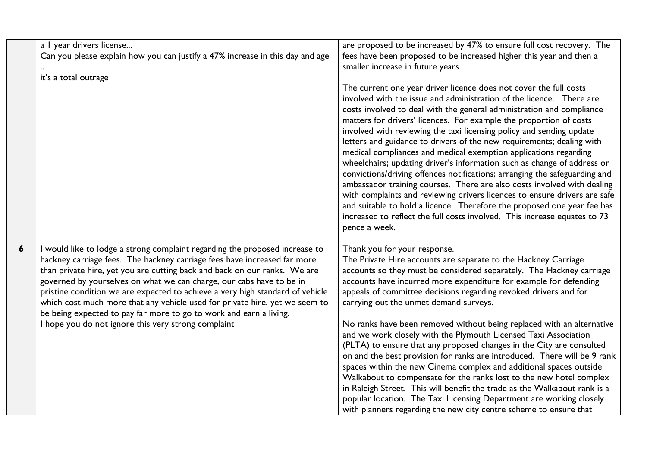|   | a I year drivers license<br>Can you please explain how you can justify a 47% increase in this day and age                                                                                                                                                                                                                                                                                                                                                                    | are proposed to be increased by 47% to ensure full cost recovery. The<br>fees have been proposed to be increased higher this year and then a<br>smaller increase in future years.                                                                                                                                                                                                                                                                                                                                                                                                                                                                                                                                                                                                                                                                                                                                                                                                                       |
|---|------------------------------------------------------------------------------------------------------------------------------------------------------------------------------------------------------------------------------------------------------------------------------------------------------------------------------------------------------------------------------------------------------------------------------------------------------------------------------|---------------------------------------------------------------------------------------------------------------------------------------------------------------------------------------------------------------------------------------------------------------------------------------------------------------------------------------------------------------------------------------------------------------------------------------------------------------------------------------------------------------------------------------------------------------------------------------------------------------------------------------------------------------------------------------------------------------------------------------------------------------------------------------------------------------------------------------------------------------------------------------------------------------------------------------------------------------------------------------------------------|
|   | it's a total outrage                                                                                                                                                                                                                                                                                                                                                                                                                                                         |                                                                                                                                                                                                                                                                                                                                                                                                                                                                                                                                                                                                                                                                                                                                                                                                                                                                                                                                                                                                         |
|   |                                                                                                                                                                                                                                                                                                                                                                                                                                                                              | The current one year driver licence does not cover the full costs<br>involved with the issue and administration of the licence. There are<br>costs involved to deal with the general administration and compliance<br>matters for drivers' licences. For example the proportion of costs<br>involved with reviewing the taxi licensing policy and sending update<br>letters and guidance to drivers of the new requirements; dealing with<br>medical compliances and medical exemption applications regarding<br>wheelchairs; updating driver's information such as change of address or<br>convictions/driving offences notifications; arranging the safeguarding and<br>ambassador training courses. There are also costs involved with dealing<br>with complaints and reviewing drivers licences to ensure drivers are safe<br>and suitable to hold a licence. Therefore the proposed one year fee has<br>increased to reflect the full costs involved. This increase equates to 73<br>pence a week. |
| 6 | I would like to lodge a strong complaint regarding the proposed increase to<br>hackney carriage fees. The hackney carriage fees have increased far more<br>than private hire, yet you are cutting back and back on our ranks. We are<br>governed by yourselves on what we can charge, our cabs have to be in<br>pristine condition we are expected to achieve a very high standard of vehicle<br>which cost much more that any vehicle used for private hire, yet we seem to | Thank you for your response.<br>The Private Hire accounts are separate to the Hackney Carriage<br>accounts so they must be considered separately. The Hackney carriage<br>accounts have incurred more expenditure for example for defending<br>appeals of committee decisions regarding revoked drivers and for                                                                                                                                                                                                                                                                                                                                                                                                                                                                                                                                                                                                                                                                                         |
|   |                                                                                                                                                                                                                                                                                                                                                                                                                                                                              | carrying out the unmet demand surveys.                                                                                                                                                                                                                                                                                                                                                                                                                                                                                                                                                                                                                                                                                                                                                                                                                                                                                                                                                                  |
|   | be being expected to pay far more to go to work and earn a living.<br>I hope you do not ignore this very strong complaint                                                                                                                                                                                                                                                                                                                                                    | No ranks have been removed without being replaced with an alternative<br>and we work closely with the Plymouth Licensed Taxi Association<br>(PLTA) to ensure that any proposed changes in the City are consulted<br>on and the best provision for ranks are introduced. There will be 9 rank<br>spaces within the new Cinema complex and additional spaces outside<br>Walkabout to compensate for the ranks lost to the new hotel complex<br>in Raleigh Street. This will benefit the trade as the Walkabout rank is a<br>popular location. The Taxi Licensing Department are working closely<br>with planners regarding the new city centre scheme to ensure that                                                                                                                                                                                                                                                                                                                                      |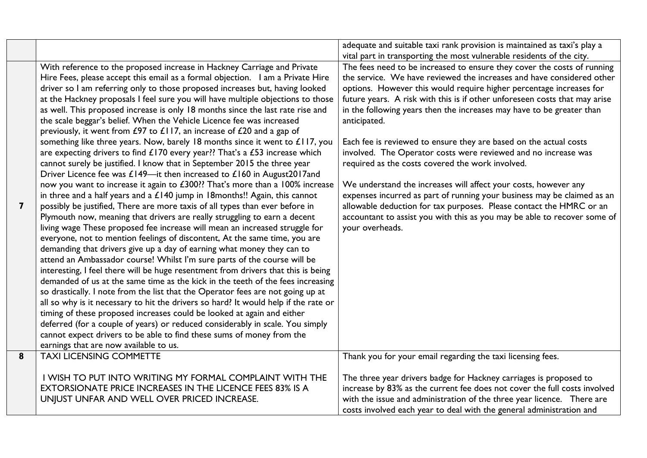|                         |                                                                                                                                                                                                                                                                                                                                                                                                                                                                                                                                                                                                                                                                                                                                                                                                                                                                                                                                                                                                                                                                                                                                                                                                                                                                                                                                                                                                                                                                                                                                                                                                                                                                                                                                                                                                                                                                                                                                                                                                                                                                                                                                  | adequate and suitable taxi rank provision is maintained as taxi's play a<br>vital part in transporting the most vulnerable residents of the city.                                                                                                                                                                                                                                                                                                                                                                                                                                                                                                                                                                                                                                                                                                                                                             |
|-------------------------|----------------------------------------------------------------------------------------------------------------------------------------------------------------------------------------------------------------------------------------------------------------------------------------------------------------------------------------------------------------------------------------------------------------------------------------------------------------------------------------------------------------------------------------------------------------------------------------------------------------------------------------------------------------------------------------------------------------------------------------------------------------------------------------------------------------------------------------------------------------------------------------------------------------------------------------------------------------------------------------------------------------------------------------------------------------------------------------------------------------------------------------------------------------------------------------------------------------------------------------------------------------------------------------------------------------------------------------------------------------------------------------------------------------------------------------------------------------------------------------------------------------------------------------------------------------------------------------------------------------------------------------------------------------------------------------------------------------------------------------------------------------------------------------------------------------------------------------------------------------------------------------------------------------------------------------------------------------------------------------------------------------------------------------------------------------------------------------------------------------------------------|---------------------------------------------------------------------------------------------------------------------------------------------------------------------------------------------------------------------------------------------------------------------------------------------------------------------------------------------------------------------------------------------------------------------------------------------------------------------------------------------------------------------------------------------------------------------------------------------------------------------------------------------------------------------------------------------------------------------------------------------------------------------------------------------------------------------------------------------------------------------------------------------------------------|
| $\overline{\mathbf{z}}$ | With reference to the proposed increase in Hackney Carriage and Private<br>Hire Fees, please accept this email as a formal objection. I am a Private Hire<br>driver so I am referring only to those proposed increases but, having looked<br>at the Hackney proposals I feel sure you will have multiple objections to those<br>as well. This proposed increase is only 18 months since the last rate rise and<br>the scale beggar's belief. When the Vehicle Licence fee was increased<br>previously, it went from £97 to £117, an increase of £20 and a gap of<br>something like three years. Now, barely 18 months since it went to £117, you<br>are expecting drivers to find $£170$ every year?? That's a $£53$ increase which<br>cannot surely be justified. I know that in September 2015 the three year<br>Driver Licence fee was £149-it then increased to £160 in August2017and<br>now you want to increase it again to £300?? That's more than a 100% increase<br>in three and a half years and a $£140$ jump in 18 months!! Again, this cannot<br>possibly be justified, There are more taxis of all types than ever before in<br>Plymouth now, meaning that drivers are really struggling to earn a decent<br>living wage These proposed fee increase will mean an increased struggle for<br>everyone, not to mention feelings of discontent, At the same time, you are<br>demanding that drivers give up a day of earning what money they can to<br>attend an Ambassador course! Whilst I'm sure parts of the course will be<br>interesting, I feel there will be huge resentment from drivers that this is being<br>demanded of us at the same time as the kick in the teeth of the fees increasing<br>so drastically. I note from the list that the Operator fees are not going up at<br>all so why is it necessary to hit the drivers so hard? It would help if the rate or<br>timing of these proposed increases could be looked at again and either<br>deferred (for a couple of years) or reduced considerably in scale. You simply<br>cannot expect drivers to be able to find these sums of money from the | The fees need to be increased to ensure they cover the costs of running<br>the service. We have reviewed the increases and have considered other<br>options. However this would require higher percentage increases for<br>future years. A risk with this is if other unforeseen costs that may arise<br>in the following years then the increases may have to be greater than<br>anticipated.<br>Each fee is reviewed to ensure they are based on the actual costs<br>involved. The Operator costs were reviewed and no increase was<br>required as the costs covered the work involved.<br>We understand the increases will affect your costs, however any<br>expenses incurred as part of running your business may be claimed as an<br>allowable deduction for tax purposes. Please contact the HMRC or an<br>accountant to assist you with this as you may be able to recover some of<br>your overheads. |
|                         | earnings that are now available to us.                                                                                                                                                                                                                                                                                                                                                                                                                                                                                                                                                                                                                                                                                                                                                                                                                                                                                                                                                                                                                                                                                                                                                                                                                                                                                                                                                                                                                                                                                                                                                                                                                                                                                                                                                                                                                                                                                                                                                                                                                                                                                           |                                                                                                                                                                                                                                                                                                                                                                                                                                                                                                                                                                                                                                                                                                                                                                                                                                                                                                               |
| $\bf{8}$                | <b>TAXI LICENSING COMMETTE</b><br>I WISH TO PUT INTO WRITING MY FORMAL COMPLAINT WITH THE<br>EXTORSIONATE PRICE INCREASES IN THE LICENCE FEES 83% IS A<br>UNJUST UNFAR AND WELL OVER PRICED INCREASE.                                                                                                                                                                                                                                                                                                                                                                                                                                                                                                                                                                                                                                                                                                                                                                                                                                                                                                                                                                                                                                                                                                                                                                                                                                                                                                                                                                                                                                                                                                                                                                                                                                                                                                                                                                                                                                                                                                                            | Thank you for your email regarding the taxi licensing fees.<br>The three year drivers badge for Hackney carriages is proposed to<br>increase by 83% as the current fee does not cover the full costs involved<br>with the issue and administration of the three year licence. There are<br>costs involved each year to deal with the general administration and                                                                                                                                                                                                                                                                                                                                                                                                                                                                                                                                               |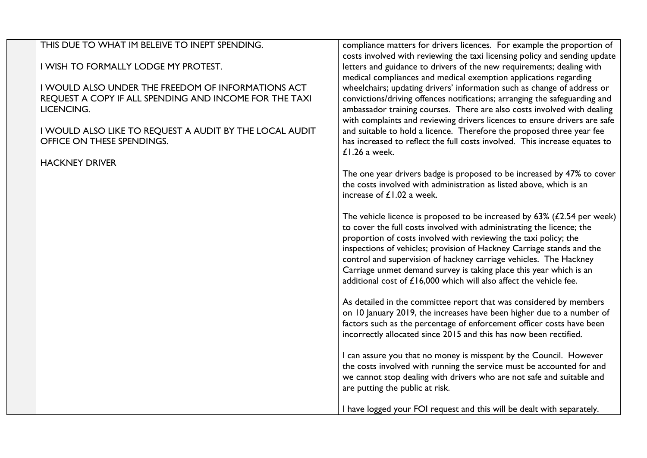## THIS DUE TO WHAT IM BELEIVE TO INEPT SPENDING.

I WISH TO FORMALLY LODGE MY PROTEST.

I WOULD ALSO UNDER THE FREEDOM OF INFORMATIONS ACT REQUEST A COPY IF ALL SPENDING AND INCOME FOR THE TAXI LICENCING.

I WOULD ALSO LIKE TO REQUEST A AUDIT BY THE LOCAL AUDIT OFFICE ON THESE SPENDINGS.

HACKNEY DRIVER

compliance matters for drivers licences. For example the proportion of costs involved with reviewing the taxi licensing policy and sending update letters and guidance to drivers of the new requirements; dealing with medical compliances and medical exemption applications regarding wheelchairs; updating drivers' information such as change of address or convictions/driving offences notifications; arranging the safeguarding and ambassador training courses. There are also costs involved with dealing with complaints and reviewing drivers licences to ensure drivers are safe and suitable to hold a licence. Therefore the proposed three year fee has increased to reflect the full costs involved. This increase equates to £1.26 a week.

The one year drivers badge is proposed to be increased by 47% to cover the costs involved with administration as listed above, which is an increase of  $f1.02$  a week.

The vehicle licence is proposed to be increased by  $63\%$  ( $£2.54$  per week) to cover the full costs involved with administrating the licence; the proportion of costs involved with reviewing the taxi policy; the inspections of vehicles; provision of Hackney Carriage stands and the control and supervision of hackney carriage vehicles. The Hackney Carriage unmet demand survey is taking place this year which is an additional cost of  $f16,000$  which will also affect the vehicle fee.

As detailed in the committee report that was considered by members on 10 January 2019, the increases have been higher due to a number of factors such as the percentage of enforcement officer costs have been incorrectly allocated since 2015 and this has now been rectified.

I can assure you that no money is misspent by the Council. However the costs involved with running the service must be accounted for and we cannot stop dealing with drivers who are not safe and suitable and are putting the public at risk.

I have logged your FOI request and this will be dealt with separately.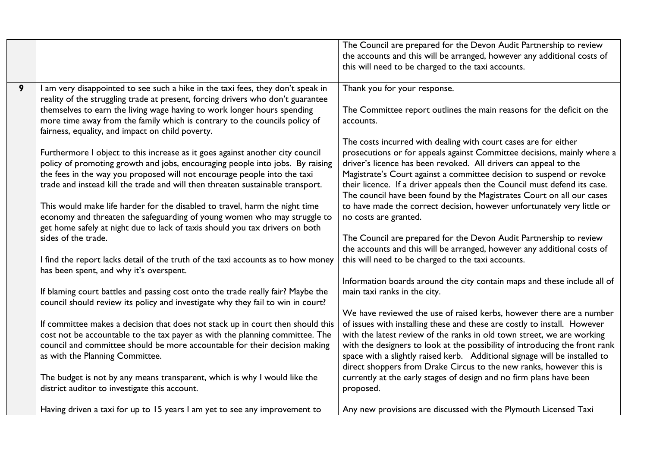|   |                                                                                                                                                                                                                                                                                                                                                                                                                                                                                                                                                                                                                                                                                                                                                                                                                                                                                                                                                                                                                                                                                                                                                                                                                                                                                                                                                                                                                                                          | The Council are prepared for the Devon Audit Partnership to review<br>the accounts and this will be arranged, however any additional costs of<br>this will need to be charged to the taxi accounts.                                                                                                                                                                                                                                                                                                                                                                                                                                                                                                                                                                                                                                                                                                                                                                                                                                                                                                                                                                                                                     |
|---|----------------------------------------------------------------------------------------------------------------------------------------------------------------------------------------------------------------------------------------------------------------------------------------------------------------------------------------------------------------------------------------------------------------------------------------------------------------------------------------------------------------------------------------------------------------------------------------------------------------------------------------------------------------------------------------------------------------------------------------------------------------------------------------------------------------------------------------------------------------------------------------------------------------------------------------------------------------------------------------------------------------------------------------------------------------------------------------------------------------------------------------------------------------------------------------------------------------------------------------------------------------------------------------------------------------------------------------------------------------------------------------------------------------------------------------------------------|-------------------------------------------------------------------------------------------------------------------------------------------------------------------------------------------------------------------------------------------------------------------------------------------------------------------------------------------------------------------------------------------------------------------------------------------------------------------------------------------------------------------------------------------------------------------------------------------------------------------------------------------------------------------------------------------------------------------------------------------------------------------------------------------------------------------------------------------------------------------------------------------------------------------------------------------------------------------------------------------------------------------------------------------------------------------------------------------------------------------------------------------------------------------------------------------------------------------------|
| 9 | I am very disappointed to see such a hike in the taxi fees, they don't speak in<br>reality of the struggling trade at present, forcing drivers who don't guarantee<br>themselves to earn the living wage having to work longer hours spending<br>more time away from the family which is contrary to the councils policy of<br>fairness, equality, and impact on child poverty.<br>Furthermore I object to this increase as it goes against another city council<br>policy of promoting growth and jobs, encouraging people into jobs. By raising<br>the fees in the way you proposed will not encourage people into the taxi<br>trade and instead kill the trade and will then threaten sustainable transport.<br>This would make life harder for the disabled to travel, harm the night time<br>economy and threaten the safeguarding of young women who may struggle to<br>get home safely at night due to lack of taxis should you tax drivers on both<br>sides of the trade.<br>I find the report lacks detail of the truth of the taxi accounts as to how money<br>has been spent, and why it's overspent.<br>If blaming court battles and passing cost onto the trade really fair? Maybe the<br>council should review its policy and investigate why they fail to win in court?<br>If committee makes a decision that does not stack up in court then should this<br>cost not be accountable to the tax payer as with the planning committee. The | Thank you for your response.<br>The Committee report outlines the main reasons for the deficit on the<br>accounts.<br>The costs incurred with dealing with court cases are for either<br>prosecutions or for appeals against Committee decisions, mainly where a<br>driver's licence has been revoked. All drivers can appeal to the<br>Magistrate's Court against a committee decision to suspend or revoke<br>their licence. If a driver appeals then the Council must defend its case.<br>The council have been found by the Magistrates Court on all our cases<br>to have made the correct decision, however unfortunately very little or<br>no costs are granted.<br>The Council are prepared for the Devon Audit Partnership to review<br>the accounts and this will be arranged, however any additional costs of<br>this will need to be charged to the taxi accounts.<br>Information boards around the city contain maps and these include all of<br>main taxi ranks in the city.<br>We have reviewed the use of raised kerbs, however there are a number<br>of issues with installing these and these are costly to install. However<br>with the latest review of the ranks in old town street, we are working |
|   | council and committee should be more accountable for their decision making<br>as with the Planning Committee.<br>The budget is not by any means transparent, which is why I would like the                                                                                                                                                                                                                                                                                                                                                                                                                                                                                                                                                                                                                                                                                                                                                                                                                                                                                                                                                                                                                                                                                                                                                                                                                                                               | with the designers to look at the possibility of introducing the front rank<br>space with a slightly raised kerb. Additional signage will be installed to<br>direct shoppers from Drake Circus to the new ranks, however this is<br>currently at the early stages of design and no firm plans have been                                                                                                                                                                                                                                                                                                                                                                                                                                                                                                                                                                                                                                                                                                                                                                                                                                                                                                                 |
|   | district auditor to investigate this account.<br>Having driven a taxi for up to 15 years I am yet to see any improvement to                                                                                                                                                                                                                                                                                                                                                                                                                                                                                                                                                                                                                                                                                                                                                                                                                                                                                                                                                                                                                                                                                                                                                                                                                                                                                                                              | proposed.<br>Any new provisions are discussed with the Plymouth Licensed Taxi                                                                                                                                                                                                                                                                                                                                                                                                                                                                                                                                                                                                                                                                                                                                                                                                                                                                                                                                                                                                                                                                                                                                           |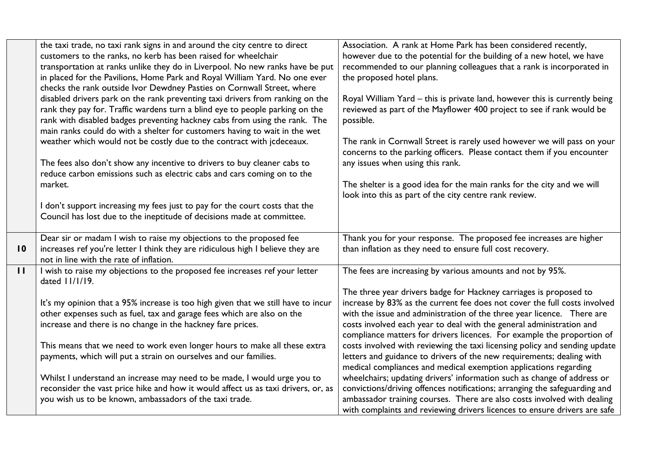|                 | the taxi trade, no taxi rank signs in and around the city centre to direct                                                                            | Association. A rank at Home Park has been considered recently,                                                                            |
|-----------------|-------------------------------------------------------------------------------------------------------------------------------------------------------|-------------------------------------------------------------------------------------------------------------------------------------------|
|                 | customers to the ranks, no kerb has been raised for wheelchair                                                                                        | however due to the potential for the building of a new hotel, we have                                                                     |
|                 | transportation at ranks unlike they do in Liverpool. No new ranks have be put                                                                         | recommended to our planning colleagues that a rank is incorporated in                                                                     |
|                 | in placed for the Pavilions, Home Park and Royal William Yard. No one ever                                                                            | the proposed hotel plans.                                                                                                                 |
|                 | checks the rank outside Ivor Dewdney Pasties on Cornwall Street, where                                                                                |                                                                                                                                           |
|                 | disabled drivers park on the rank preventing taxi drivers from ranking on the                                                                         | Royal William Yard - this is private land, however this is currently being                                                                |
|                 | rank they pay for. Traffic wardens turn a blind eye to people parking on the                                                                          | reviewed as part of the Mayflower 400 project to see if rank would be                                                                     |
|                 | rank with disabled badges preventing hackney cabs from using the rank. The                                                                            | possible.                                                                                                                                 |
|                 | main ranks could do with a shelter for customers having to wait in the wet                                                                            |                                                                                                                                           |
|                 | weather which would not be costly due to the contract with jcdeceaux.                                                                                 | The rank in Cornwall Street is rarely used however we will pass on your                                                                   |
|                 |                                                                                                                                                       | concerns to the parking officers. Please contact them if you encounter                                                                    |
|                 | The fees also don't show any incentive to drivers to buy cleaner cabs to                                                                              | any issues when using this rank.                                                                                                          |
|                 | reduce carbon emissions such as electric cabs and cars coming on to the                                                                               |                                                                                                                                           |
|                 | market.                                                                                                                                               | The shelter is a good idea for the main ranks for the city and we will                                                                    |
|                 |                                                                                                                                                       | look into this as part of the city centre rank review.                                                                                    |
|                 | I don't support increasing my fees just to pay for the court costs that the<br>Council has lost due to the ineptitude of decisions made at committee. |                                                                                                                                           |
|                 |                                                                                                                                                       |                                                                                                                                           |
|                 | Dear sir or madam I wish to raise my objections to the proposed fee                                                                                   | Thank you for your response. The proposed fee increases are higher                                                                        |
| $\overline{10}$ | increases ref you're letter I think they are ridiculous high I believe they are                                                                       | than inflation as they need to ensure full cost recovery.                                                                                 |
|                 | not in line with the rate of inflation.                                                                                                               |                                                                                                                                           |
| $\mathbf{H}$    | I wish to raise my objections to the proposed fee increases ref your letter                                                                           | The fees are increasing by various amounts and not by 95%.                                                                                |
|                 | dated 11/1/19.                                                                                                                                        |                                                                                                                                           |
|                 |                                                                                                                                                       | The three year drivers badge for Hackney carriages is proposed to                                                                         |
|                 | It's my opinion that a 95% increase is too high given that we still have to incur                                                                     | increase by 83% as the current fee does not cover the full costs involved                                                                 |
|                 | other expenses such as fuel, tax and garage fees which are also on the                                                                                | with the issue and administration of the three year licence. There are                                                                    |
|                 | increase and there is no change in the hackney fare prices.                                                                                           | costs involved each year to deal with the general administration and                                                                      |
|                 |                                                                                                                                                       | compliance matters for drivers licences. For example the proportion of                                                                    |
|                 | This means that we need to work even longer hours to make all these extra                                                                             | costs involved with reviewing the taxi licensing policy and sending update                                                                |
|                 | payments, which will put a strain on ourselves and our families.                                                                                      | letters and guidance to drivers of the new requirements; dealing with<br>medical compliances and medical exemption applications regarding |
|                 | Whilst I understand an increase may need to be made, I would urge you to                                                                              | wheelchairs; updating drivers' information such as change of address or                                                                   |
|                 | reconsider the vast price hike and how it would affect us as taxi drivers, or, as                                                                     | convictions/driving offences notifications; arranging the safeguarding and                                                                |
|                 | you wish us to be known, ambassadors of the taxi trade.                                                                                               | ambassador training courses. There are also costs involved with dealing                                                                   |
|                 |                                                                                                                                                       | with complaints and reviewing drivers licences to ensure drivers are safe                                                                 |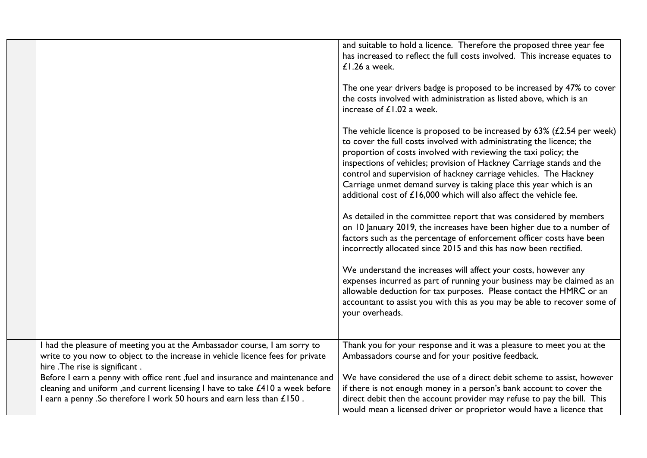|                                                                                                                                                                                                | and suitable to hold a licence. Therefore the proposed three year fee<br>has increased to reflect the full costs involved. This increase equates to<br>£1.26 a week.<br>The one year drivers badge is proposed to be increased by 47% to cover<br>the costs involved with administration as listed above, which is an<br>increase of $£1.02$ a week.<br>The vehicle licence is proposed to be increased by $63\%$ (£2.54 per week)<br>to cover the full costs involved with administrating the licence; the<br>proportion of costs involved with reviewing the taxi policy; the<br>inspections of vehicles; provision of Hackney Carriage stands and the<br>control and supervision of hackney carriage vehicles. The Hackney<br>Carriage unmet demand survey is taking place this year which is an<br>additional cost of £16,000 which will also affect the vehicle fee.<br>As detailed in the committee report that was considered by members<br>on 10 January 2019, the increases have been higher due to a number of<br>factors such as the percentage of enforcement officer costs have been<br>incorrectly allocated since 2015 and this has now been rectified.<br>We understand the increases will affect your costs, however any<br>expenses incurred as part of running your business may be claimed as an<br>allowable deduction for tax purposes. Please contact the HMRC or an<br>accountant to assist you with this as you may be able to recover some of<br>your overheads. |
|------------------------------------------------------------------------------------------------------------------------------------------------------------------------------------------------|--------------------------------------------------------------------------------------------------------------------------------------------------------------------------------------------------------------------------------------------------------------------------------------------------------------------------------------------------------------------------------------------------------------------------------------------------------------------------------------------------------------------------------------------------------------------------------------------------------------------------------------------------------------------------------------------------------------------------------------------------------------------------------------------------------------------------------------------------------------------------------------------------------------------------------------------------------------------------------------------------------------------------------------------------------------------------------------------------------------------------------------------------------------------------------------------------------------------------------------------------------------------------------------------------------------------------------------------------------------------------------------------------------------------------------------------------------------------------------------------|
| I had the pleasure of meeting you at the Ambassador course, I am sorry to<br>write to you now to object to the increase in vehicle licence fees for private<br>hire . The rise is significant. | Thank you for your response and it was a pleasure to meet you at the<br>Ambassadors course and for your positive feedback.                                                                                                                                                                                                                                                                                                                                                                                                                                                                                                                                                                                                                                                                                                                                                                                                                                                                                                                                                                                                                                                                                                                                                                                                                                                                                                                                                                 |
| Before I earn a penny with office rent, fuel and insurance and maintenance and                                                                                                                 | We have considered the use of a direct debit scheme to assist, however                                                                                                                                                                                                                                                                                                                                                                                                                                                                                                                                                                                                                                                                                                                                                                                                                                                                                                                                                                                                                                                                                                                                                                                                                                                                                                                                                                                                                     |
| cleaning and uniform , and current licensing I have to take £410 a week before                                                                                                                 | if there is not enough money in a person's bank account to cover the                                                                                                                                                                                                                                                                                                                                                                                                                                                                                                                                                                                                                                                                                                                                                                                                                                                                                                                                                                                                                                                                                                                                                                                                                                                                                                                                                                                                                       |
| I earn a penny .So therefore I work 50 hours and earn less than £150.                                                                                                                          | direct debit then the account provider may refuse to pay the bill. This<br>would mean a licensed driver or proprietor would have a licence that                                                                                                                                                                                                                                                                                                                                                                                                                                                                                                                                                                                                                                                                                                                                                                                                                                                                                                                                                                                                                                                                                                                                                                                                                                                                                                                                            |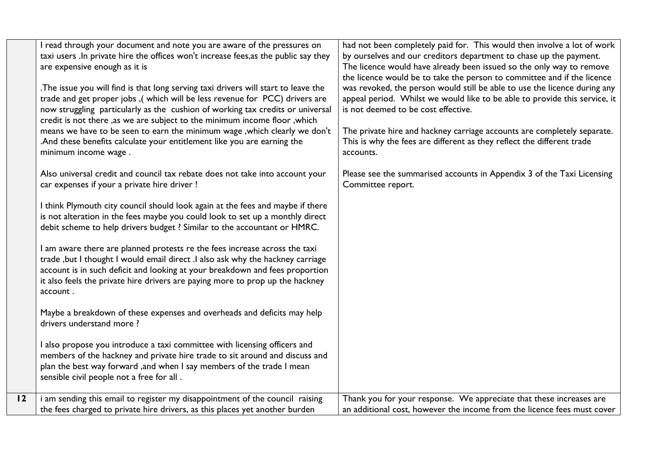|    | I read through your document and note you are aware of the pressures on<br>taxi users .In private hire the offices won't increase fees, as the public say they<br>are expensive enough as it is                                                                                                                                           | had not been completely paid for. This would then involve a lot of work<br>by ourselves and our creditors department to chase up the payment.<br>The licence would have already been issued so the only way to remove                                                     |
|----|-------------------------------------------------------------------------------------------------------------------------------------------------------------------------------------------------------------------------------------------------------------------------------------------------------------------------------------------|---------------------------------------------------------------------------------------------------------------------------------------------------------------------------------------------------------------------------------------------------------------------------|
|    | .The issue you will find is that long serving taxi drivers will start to leave the<br>trade and get proper jobs, (which will be less revenue for PCC) drivers are<br>now struggling particularly as the cushion of working tax credits or universal                                                                                       | the licence would be to take the person to committee and if the licence<br>was revoked, the person would still be able to use the licence during any<br>appeal period. Whilst we would like to be able to provide this service, it<br>is not deemed to be cost effective. |
|    | credit is not there , as we are subject to the minimum income floor, which<br>means we have to be seen to earn the minimum wage, which clearly we don't<br>.And these benefits calculate your entitlement like you are earning the<br>minimum income wage.                                                                                | The private hire and hackney carriage accounts are completely separate.<br>This is why the fees are different as they reflect the different trade<br>accounts.                                                                                                            |
|    | Also universal credit and council tax rebate does not take into account your<br>car expenses if your a private hire driver !                                                                                                                                                                                                              | Please see the summarised accounts in Appendix 3 of the Taxi Licensing<br>Committee report.                                                                                                                                                                               |
|    | I think Plymouth city council should look again at the fees and maybe if there<br>is not alteration in the fees maybe you could look to set up a monthly direct<br>debit scheme to help drivers budget ? Similar to the accountant or HMRC.                                                                                               |                                                                                                                                                                                                                                                                           |
|    | I am aware there are planned protests re the fees increase across the taxi<br>trade, but I thought I would email direct. I also ask why the hackney carriage<br>account is in such deficit and looking at your breakdown and fees proportion<br>it also feels the private hire drivers are paying more to prop up the hackney<br>account. |                                                                                                                                                                                                                                                                           |
|    | Maybe a breakdown of these expenses and overheads and deficits may help<br>drivers understand more?                                                                                                                                                                                                                                       |                                                                                                                                                                                                                                                                           |
|    | I also propose you introduce a taxi committee with licensing officers and<br>members of the hackney and private hire trade to sit around and discuss and<br>plan the best way forward ,and when I say members of the trade I mean<br>sensible civil people not a free for all.                                                            |                                                                                                                                                                                                                                                                           |
| 12 | i am sending this email to register my disappointment of the council raising<br>the fees charged to private hire drivers, as this places yet another burden                                                                                                                                                                               | Thank you for your response. We appreciate that these increases are<br>an additional cost, however the income from the licence fees must cover                                                                                                                            |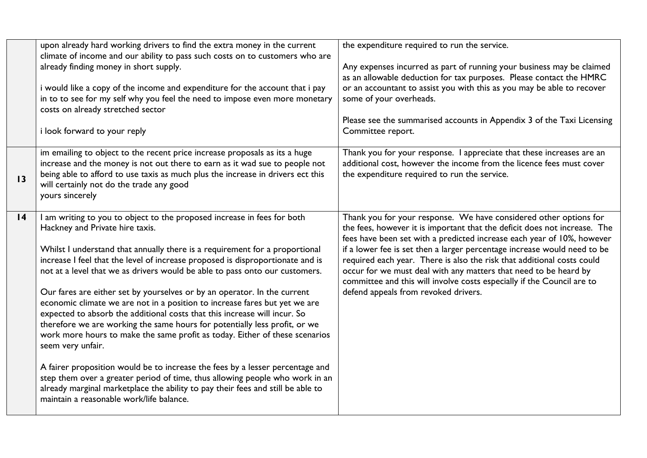|    | upon already hard working drivers to find the extra money in the current<br>climate of income and our ability to pass such costs on to customers who are<br>already finding money in short supply.<br>i would like a copy of the income and expenditure for the account that i pay<br>in to to see for my self why you feel the need to impose even more monetary<br>costs on already stretched sector<br>i look forward to your reply                                                                                                                                                                                                                                                                                                                                                                                                                                                                                                                                                                                                                                              | the expenditure required to run the service.<br>Any expenses incurred as part of running your business may be claimed<br>as an allowable deduction for tax purposes. Please contact the HMRC<br>or an accountant to assist you with this as you may be able to recover<br>some of your overheads.<br>Please see the summarised accounts in Appendix 3 of the Taxi Licensing<br>Committee report.                                                                                                                                                                     |
|----|-------------------------------------------------------------------------------------------------------------------------------------------------------------------------------------------------------------------------------------------------------------------------------------------------------------------------------------------------------------------------------------------------------------------------------------------------------------------------------------------------------------------------------------------------------------------------------------------------------------------------------------------------------------------------------------------------------------------------------------------------------------------------------------------------------------------------------------------------------------------------------------------------------------------------------------------------------------------------------------------------------------------------------------------------------------------------------------|----------------------------------------------------------------------------------------------------------------------------------------------------------------------------------------------------------------------------------------------------------------------------------------------------------------------------------------------------------------------------------------------------------------------------------------------------------------------------------------------------------------------------------------------------------------------|
| 13 | im emailing to object to the recent price increase proposals as its a huge<br>increase and the money is not out there to earn as it wad sue to people not<br>being able to afford to use taxis as much plus the increase in drivers ect this<br>will certainly not do the trade any good<br>yours sincerely                                                                                                                                                                                                                                                                                                                                                                                                                                                                                                                                                                                                                                                                                                                                                                         | Thank you for your response. I appreciate that these increases are an<br>additional cost, however the income from the licence fees must cover<br>the expenditure required to run the service.                                                                                                                                                                                                                                                                                                                                                                        |
| 4  | I am writing to you to object to the proposed increase in fees for both<br>Hackney and Private hire taxis.<br>Whilst I understand that annually there is a requirement for a proportional<br>increase I feel that the level of increase proposed is disproportionate and is<br>not at a level that we as drivers would be able to pass onto our customers.<br>Our fares are either set by yourselves or by an operator. In the current<br>economic climate we are not in a position to increase fares but yet we are<br>expected to absorb the additional costs that this increase will incur. So<br>therefore we are working the same hours for potentially less profit, or we<br>work more hours to make the same profit as today. Either of these scenarios<br>seem very unfair.<br>A fairer proposition would be to increase the fees by a lesser percentage and<br>step them over a greater period of time, thus allowing people who work in an<br>already marginal marketplace the ability to pay their fees and still be able to<br>maintain a reasonable work/life balance. | Thank you for your response. We have considered other options for<br>the fees, however it is important that the deficit does not increase. The<br>fees have been set with a predicted increase each year of 10%, however<br>if a lower fee is set then a larger percentage increase would need to be<br>required each year. There is also the risk that additional costs could<br>occur for we must deal with any matters that need to be heard by<br>committee and this will involve costs especially if the Council are to<br>defend appeals from revoked drivers. |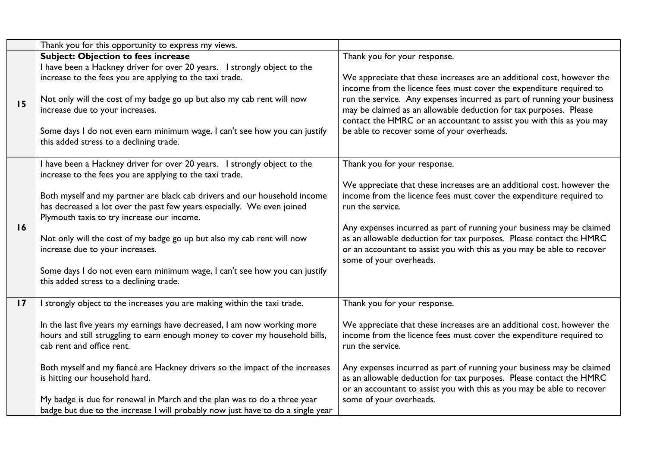|    | Thank you for this opportunity to express my views.                             |                                                                                                                                               |
|----|---------------------------------------------------------------------------------|-----------------------------------------------------------------------------------------------------------------------------------------------|
|    | <b>Subject: Objection to fees increase</b>                                      | Thank you for your response.                                                                                                                  |
|    | I have been a Hackney driver for over 20 years. I strongly object to the        |                                                                                                                                               |
|    | increase to the fees you are applying to the taxi trade.                        | We appreciate that these increases are an additional cost, however the                                                                        |
|    |                                                                                 | income from the licence fees must cover the expenditure required to                                                                           |
| 15 | Not only will the cost of my badge go up but also my cab rent will now          | run the service. Any expenses incurred as part of running your business                                                                       |
|    | increase due to your increases.                                                 | may be claimed as an allowable deduction for tax purposes. Please                                                                             |
|    |                                                                                 | contact the HMRC or an accountant to assist you with this as you may                                                                          |
|    | Some days I do not even earn minimum wage, I can't see how you can justify      | be able to recover some of your overheads.                                                                                                    |
|    | this added stress to a declining trade.                                         |                                                                                                                                               |
|    |                                                                                 |                                                                                                                                               |
|    | I have been a Hackney driver for over 20 years. I strongly object to the        | Thank you for your response.                                                                                                                  |
|    | increase to the fees you are applying to the taxi trade.                        |                                                                                                                                               |
|    | Both myself and my partner are black cab drivers and our household income       | We appreciate that these increases are an additional cost, however the<br>income from the licence fees must cover the expenditure required to |
|    | has decreased a lot over the past few years especially. We even joined          | run the service.                                                                                                                              |
|    | Plymouth taxis to try increase our income.                                      |                                                                                                                                               |
| 16 |                                                                                 | Any expenses incurred as part of running your business may be claimed                                                                         |
|    | Not only will the cost of my badge go up but also my cab rent will now          | as an allowable deduction for tax purposes. Please contact the HMRC                                                                           |
|    | increase due to your increases.                                                 | or an accountant to assist you with this as you may be able to recover                                                                        |
|    |                                                                                 | some of your overheads.                                                                                                                       |
|    | Some days I do not even earn minimum wage, I can't see how you can justify      |                                                                                                                                               |
|    | this added stress to a declining trade.                                         |                                                                                                                                               |
|    |                                                                                 |                                                                                                                                               |
| 17 | I strongly object to the increases you are making within the taxi trade.        | Thank you for your response.                                                                                                                  |
|    | In the last five years my earnings have decreased, I am now working more        | We appreciate that these increases are an additional cost, however the                                                                        |
|    | hours and still struggling to earn enough money to cover my household bills,    | income from the licence fees must cover the expenditure required to                                                                           |
|    | cab rent and office rent.                                                       | run the service.                                                                                                                              |
|    |                                                                                 |                                                                                                                                               |
|    | Both myself and my fiancé are Hackney drivers so the impact of the increases    | Any expenses incurred as part of running your business may be claimed                                                                         |
|    | is hitting our household hard.                                                  | as an allowable deduction for tax purposes. Please contact the HMRC                                                                           |
|    |                                                                                 | or an accountant to assist you with this as you may be able to recover                                                                        |
|    | My badge is due for renewal in March and the plan was to do a three year        | some of your overheads.                                                                                                                       |
|    | badge but due to the increase I will probably now just have to do a single year |                                                                                                                                               |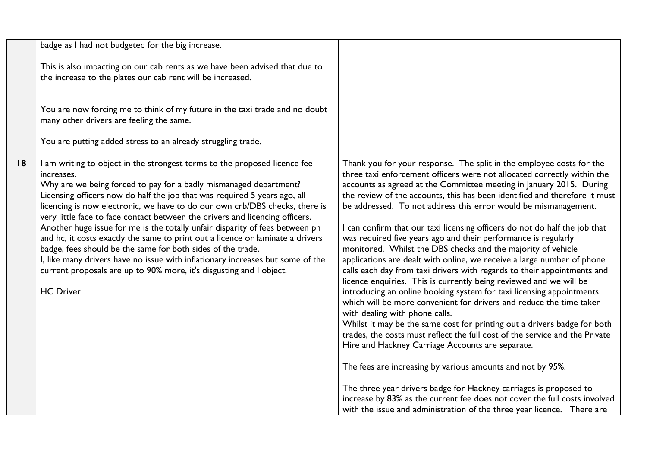|   | badge as I had not budgeted for the big increase.                                                                                                                                                                                                                                                                                                                                                                                                                                                                                                                                                                                                                                                                                                                                                                      |                                                                                                                                                                                                                                                                                                                                                                                                                                                                                                                                                                                                                                                                                                                                                                                                                                                                                                                                                                                                                                                                                                                                                                                                                    |
|---|------------------------------------------------------------------------------------------------------------------------------------------------------------------------------------------------------------------------------------------------------------------------------------------------------------------------------------------------------------------------------------------------------------------------------------------------------------------------------------------------------------------------------------------------------------------------------------------------------------------------------------------------------------------------------------------------------------------------------------------------------------------------------------------------------------------------|--------------------------------------------------------------------------------------------------------------------------------------------------------------------------------------------------------------------------------------------------------------------------------------------------------------------------------------------------------------------------------------------------------------------------------------------------------------------------------------------------------------------------------------------------------------------------------------------------------------------------------------------------------------------------------------------------------------------------------------------------------------------------------------------------------------------------------------------------------------------------------------------------------------------------------------------------------------------------------------------------------------------------------------------------------------------------------------------------------------------------------------------------------------------------------------------------------------------|
|   | This is also impacting on our cab rents as we have been advised that due to<br>the increase to the plates our cab rent will be increased.                                                                                                                                                                                                                                                                                                                                                                                                                                                                                                                                                                                                                                                                              |                                                                                                                                                                                                                                                                                                                                                                                                                                                                                                                                                                                                                                                                                                                                                                                                                                                                                                                                                                                                                                                                                                                                                                                                                    |
|   | You are now forcing me to think of my future in the taxi trade and no doubt<br>many other drivers are feeling the same.                                                                                                                                                                                                                                                                                                                                                                                                                                                                                                                                                                                                                                                                                                |                                                                                                                                                                                                                                                                                                                                                                                                                                                                                                                                                                                                                                                                                                                                                                                                                                                                                                                                                                                                                                                                                                                                                                                                                    |
|   | You are putting added stress to an already struggling trade.                                                                                                                                                                                                                                                                                                                                                                                                                                                                                                                                                                                                                                                                                                                                                           |                                                                                                                                                                                                                                                                                                                                                                                                                                                                                                                                                                                                                                                                                                                                                                                                                                                                                                                                                                                                                                                                                                                                                                                                                    |
| 8 | I am writing to object in the strongest terms to the proposed licence fee<br>increases.<br>Why are we being forced to pay for a badly mismanaged department?<br>Licensing officers now do half the job that was required 5 years ago, all<br>licencing is now electronic, we have to do our own crb/DBS checks, there is<br>very little face to face contact between the drivers and licencing officers.<br>Another huge issue for me is the totally unfair disparity of fees between ph<br>and hc, it costs exactly the same to print out a licence or laminate a drivers<br>badge, fees should be the same for both sides of the trade.<br>I, like many drivers have no issue with inflationary increases but some of the<br>current proposals are up to 90% more, it's disgusting and I object.<br><b>HC Driver</b> | Thank you for your response. The split in the employee costs for the<br>three taxi enforcement officers were not allocated correctly within the<br>accounts as agreed at the Committee meeting in January 2015. During<br>the review of the accounts, this has been identified and therefore it must<br>be addressed. To not address this error would be mismanagement.<br>I can confirm that our taxi licensing officers do not do half the job that<br>was required five years ago and their performance is regularly<br>monitored. Whilst the DBS checks and the majority of vehicle<br>applications are dealt with online, we receive a large number of phone<br>calls each day from taxi drivers with regards to their appointments and<br>licence enquiries. This is currently being reviewed and we will be<br>introducing an online booking system for taxi licensing appointments<br>which will be more convenient for drivers and reduce the time taken<br>with dealing with phone calls.<br>Whilst it may be the same cost for printing out a drivers badge for both<br>trades, the costs must reflect the full cost of the service and the Private<br>Hire and Hackney Carriage Accounts are separate. |
|   |                                                                                                                                                                                                                                                                                                                                                                                                                                                                                                                                                                                                                                                                                                                                                                                                                        | The fees are increasing by various amounts and not by 95%.                                                                                                                                                                                                                                                                                                                                                                                                                                                                                                                                                                                                                                                                                                                                                                                                                                                                                                                                                                                                                                                                                                                                                         |
|   |                                                                                                                                                                                                                                                                                                                                                                                                                                                                                                                                                                                                                                                                                                                                                                                                                        | The three year drivers badge for Hackney carriages is proposed to<br>increase by 83% as the current fee does not cover the full costs involved<br>with the issue and administration of the three year licence. There are                                                                                                                                                                                                                                                                                                                                                                                                                                                                                                                                                                                                                                                                                                                                                                                                                                                                                                                                                                                           |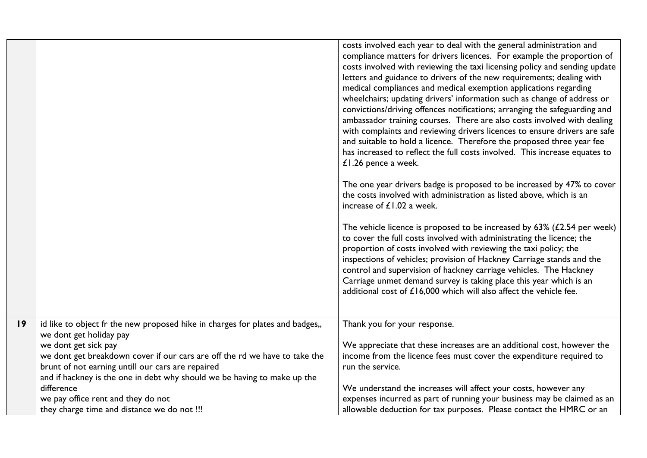|    |                                                                               | costs involved each year to deal with the general administration and<br>compliance matters for drivers licences. For example the proportion of<br>costs involved with reviewing the taxi licensing policy and sending update<br>letters and guidance to drivers of the new requirements; dealing with<br>medical compliances and medical exemption applications regarding<br>wheelchairs; updating drivers' information such as change of address or<br>convictions/driving offences notifications; arranging the safeguarding and<br>ambassador training courses. There are also costs involved with dealing<br>with complaints and reviewing drivers licences to ensure drivers are safe<br>and suitable to hold a licence. Therefore the proposed three year fee<br>has increased to reflect the full costs involved. This increase equates to<br>£1.26 pence a week.<br>The one year drivers badge is proposed to be increased by 47% to cover<br>the costs involved with administration as listed above, which is an<br>increase of £1.02 a week.<br>The vehicle licence is proposed to be increased by $63\%$ (£2.54 per week)<br>to cover the full costs involved with administrating the licence; the<br>proportion of costs involved with reviewing the taxi policy; the<br>inspections of vehicles; provision of Hackney Carriage stands and the<br>control and supervision of hackney carriage vehicles. The Hackney<br>Carriage unmet demand survey is taking place this year which is an<br>additional cost of £16,000 which will also affect the vehicle fee. |
|----|-------------------------------------------------------------------------------|-----------------------------------------------------------------------------------------------------------------------------------------------------------------------------------------------------------------------------------------------------------------------------------------------------------------------------------------------------------------------------------------------------------------------------------------------------------------------------------------------------------------------------------------------------------------------------------------------------------------------------------------------------------------------------------------------------------------------------------------------------------------------------------------------------------------------------------------------------------------------------------------------------------------------------------------------------------------------------------------------------------------------------------------------------------------------------------------------------------------------------------------------------------------------------------------------------------------------------------------------------------------------------------------------------------------------------------------------------------------------------------------------------------------------------------------------------------------------------------------------------------------------------------------------------------------------------|
| 19 | id like to object fr the new proposed hike in charges for plates and badges,, | Thank you for your response.                                                                                                                                                                                                                                                                                                                                                                                                                                                                                                                                                                                                                                                                                                                                                                                                                                                                                                                                                                                                                                                                                                                                                                                                                                                                                                                                                                                                                                                                                                                                                |
|    | we dont get holiday pay                                                       |                                                                                                                                                                                                                                                                                                                                                                                                                                                                                                                                                                                                                                                                                                                                                                                                                                                                                                                                                                                                                                                                                                                                                                                                                                                                                                                                                                                                                                                                                                                                                                             |
|    | we dont get sick pay                                                          | We appreciate that these increases are an additional cost, however the                                                                                                                                                                                                                                                                                                                                                                                                                                                                                                                                                                                                                                                                                                                                                                                                                                                                                                                                                                                                                                                                                                                                                                                                                                                                                                                                                                                                                                                                                                      |
|    | we dont get breakdown cover if our cars are off the rd we have to take the    | income from the licence fees must cover the expenditure required to                                                                                                                                                                                                                                                                                                                                                                                                                                                                                                                                                                                                                                                                                                                                                                                                                                                                                                                                                                                                                                                                                                                                                                                                                                                                                                                                                                                                                                                                                                         |
|    | brunt of not earning untill our cars are repaired                             | run the service.                                                                                                                                                                                                                                                                                                                                                                                                                                                                                                                                                                                                                                                                                                                                                                                                                                                                                                                                                                                                                                                                                                                                                                                                                                                                                                                                                                                                                                                                                                                                                            |
|    | and if hackney is the one in debt why should we be having to make up the      |                                                                                                                                                                                                                                                                                                                                                                                                                                                                                                                                                                                                                                                                                                                                                                                                                                                                                                                                                                                                                                                                                                                                                                                                                                                                                                                                                                                                                                                                                                                                                                             |
|    | difference                                                                    | We understand the increases will affect your costs, however any                                                                                                                                                                                                                                                                                                                                                                                                                                                                                                                                                                                                                                                                                                                                                                                                                                                                                                                                                                                                                                                                                                                                                                                                                                                                                                                                                                                                                                                                                                             |
|    | we pay office rent and they do not                                            | expenses incurred as part of running your business may be claimed as an                                                                                                                                                                                                                                                                                                                                                                                                                                                                                                                                                                                                                                                                                                                                                                                                                                                                                                                                                                                                                                                                                                                                                                                                                                                                                                                                                                                                                                                                                                     |
|    | they charge time and distance we do not !!!                                   | allowable deduction for tax purposes. Please contact the HMRC or an                                                                                                                                                                                                                                                                                                                                                                                                                                                                                                                                                                                                                                                                                                                                                                                                                                                                                                                                                                                                                                                                                                                                                                                                                                                                                                                                                                                                                                                                                                         |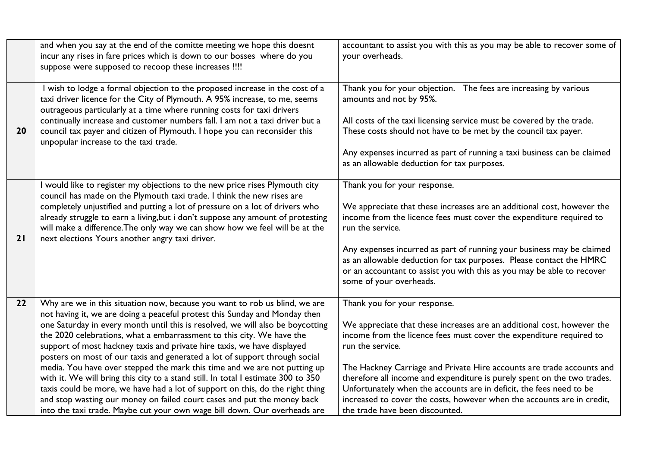|    | and when you say at the end of the comitte meeting we hope this doesnt<br>incur any rises in fare prices which is down to our bosses where do you<br>suppose were supposed to recoop these increases !!!!                                                                                                                                                                                                                                                                                                                                                                                                                                                                                                                                                                                                                                                                               | accountant to assist you with this as you may be able to recover some of<br>your overheads.                                                                                                                                                                                                                                                                                                                                                                                                                                               |
|----|-----------------------------------------------------------------------------------------------------------------------------------------------------------------------------------------------------------------------------------------------------------------------------------------------------------------------------------------------------------------------------------------------------------------------------------------------------------------------------------------------------------------------------------------------------------------------------------------------------------------------------------------------------------------------------------------------------------------------------------------------------------------------------------------------------------------------------------------------------------------------------------------|-------------------------------------------------------------------------------------------------------------------------------------------------------------------------------------------------------------------------------------------------------------------------------------------------------------------------------------------------------------------------------------------------------------------------------------------------------------------------------------------------------------------------------------------|
| 20 | I wish to lodge a formal objection to the proposed increase in the cost of a<br>taxi driver licence for the City of Plymouth. A 95% increase, to me, seems<br>outrageous particularly at a time where running costs for taxi drivers<br>continually increase and customer numbers fall. I am not a taxi driver but a<br>council tax payer and citizen of Plymouth. I hope you can reconsider this<br>unpopular increase to the taxi trade.                                                                                                                                                                                                                                                                                                                                                                                                                                              | Thank you for your objection. The fees are increasing by various<br>amounts and not by 95%.<br>All costs of the taxi licensing service must be covered by the trade.<br>These costs should not have to be met by the council tax payer.<br>Any expenses incurred as part of running a taxi business can be claimed<br>as an allowable deduction for tax purposes.                                                                                                                                                                         |
| 21 | I would like to register my objections to the new price rises Plymouth city<br>council has made on the Plymouth taxi trade. I think the new rises are<br>completely unjustified and putting a lot of pressure on a lot of drivers who<br>already struggle to earn a living, but i don't suppose any amount of protesting<br>will make a difference. The only way we can show how we feel will be at the<br>next elections Yours another angry taxi driver.                                                                                                                                                                                                                                                                                                                                                                                                                              | Thank you for your response.<br>We appreciate that these increases are an additional cost, however the<br>income from the licence fees must cover the expenditure required to<br>run the service.<br>Any expenses incurred as part of running your business may be claimed<br>as an allowable deduction for tax purposes. Please contact the HMRC<br>or an accountant to assist you with this as you may be able to recover<br>some of your overheads.                                                                                    |
| 22 | Why are we in this situation now, because you want to rob us blind, we are<br>not having it, we are doing a peaceful protest this Sunday and Monday then<br>one Saturday in every month until this is resolved, we will also be boycotting<br>the 2020 celebrations, what a embarrassment to this city. We have the<br>support of most hackney taxis and private hire taxis, we have displayed<br>posters on most of our taxis and generated a lot of support through social<br>media. You have over stepped the mark this time and we are not putting up<br>with it. We will bring this city to a stand still. In total I estimate 300 to 350<br>taxis could be more, we have had a lot of support on this, do the right thing<br>and stop wasting our money on failed court cases and put the money back<br>into the taxi trade. Maybe cut your own wage bill down. Our overheads are | Thank you for your response.<br>We appreciate that these increases are an additional cost, however the<br>income from the licence fees must cover the expenditure required to<br>run the service.<br>The Hackney Carriage and Private Hire accounts are trade accounts and<br>therefore all income and expenditure is purely spent on the two trades.<br>Unfortunately when the accounts are in deficit, the fees need to be<br>increased to cover the costs, however when the accounts are in credit,<br>the trade have been discounted. |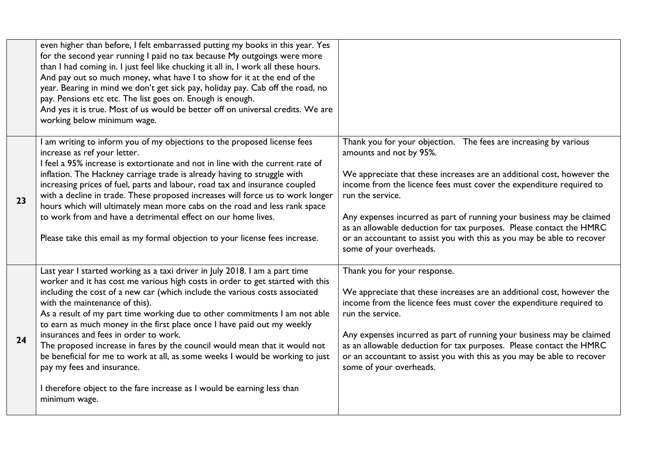|    | even higher than before, I felt embarrassed putting my books in this year. Yes<br>for the second year running I paid no tax because My outgoings were more<br>than I had coming in. I just feel like chucking it all in, I work all these hours.<br>And pay out so much money, what have I to show for it at the end of the<br>year. Bearing in mind we don't get sick pay, holiday pay. Cab off the road, no<br>pay. Pensions etc etc. The list goes on. Enough is enough.<br>And yes it is true. Most of us would be better off on universal credits. We are<br>working below minimum wage.                                                                                                                                                                             |                                                                                                                                                                                                                                                                                                                                                                                                                                                                                                                       |
|----|---------------------------------------------------------------------------------------------------------------------------------------------------------------------------------------------------------------------------------------------------------------------------------------------------------------------------------------------------------------------------------------------------------------------------------------------------------------------------------------------------------------------------------------------------------------------------------------------------------------------------------------------------------------------------------------------------------------------------------------------------------------------------|-----------------------------------------------------------------------------------------------------------------------------------------------------------------------------------------------------------------------------------------------------------------------------------------------------------------------------------------------------------------------------------------------------------------------------------------------------------------------------------------------------------------------|
| 23 | I am writing to inform you of my objections to the proposed license fees<br>increase as ref your letter.<br>I feel a 95% increase is extortionate and not in line with the current rate of<br>inflation. The Hackney carriage trade is already having to struggle with<br>increasing prices of fuel, parts and labour, road tax and insurance coupled<br>with a decline in trade. These proposed increases will force us to work longer<br>hours which will ultimately mean more cabs on the road and less rank space<br>to work from and have a detrimental effect on our home lives.<br>Please take this email as my formal objection to your license fees increase.                                                                                                    | Thank you for your objection. The fees are increasing by various<br>amounts and not by 95%.<br>We appreciate that these increases are an additional cost, however the<br>income from the licence fees must cover the expenditure required to<br>run the service.<br>Any expenses incurred as part of running your business may be claimed<br>as an allowable deduction for tax purposes. Please contact the HMRC<br>or an accountant to assist you with this as you may be able to recover<br>some of your overheads. |
| 24 | Last year I started working as a taxi driver in July 2018. I am a part time<br>worker and it has cost me various high costs in order to get started with this<br>including the cost of a new car (which include the various costs associated<br>with the maintenance of this).<br>As a result of my part time working due to other commitments I am not able<br>to earn as much money in the first place once I have paid out my weekly<br>insurances and fees in order to work.<br>The proposed increase in fares by the council would mean that it would not<br>be beneficial for me to work at all, as some weeks I would be working to just<br>pay my fees and insurance.<br>I therefore object to the fare increase as I would be earning less than<br>minimum wage. | Thank you for your response.<br>We appreciate that these increases are an additional cost, however the<br>income from the licence fees must cover the expenditure required to<br>run the service.<br>Any expenses incurred as part of running your business may be claimed<br>as an allowable deduction for tax purposes. Please contact the HMRC<br>or an accountant to assist you with this as you may be able to recover<br>some of your overheads.                                                                |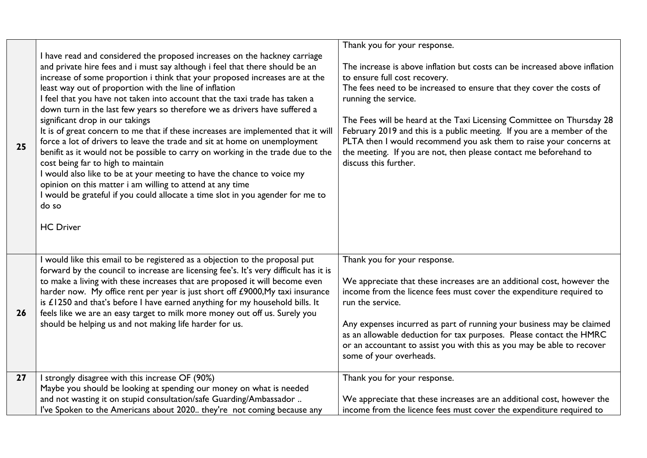|    |                                                                                                                                                                                                                                                                                                                                                                                                                                                                                                                                                                                                                                                                                                                                                                                                                                                                                                                                                                                                                                                     | Thank you for your response.                                                                                                                                                                                                                                                                                                                                                                                                                                                                                                       |
|----|-----------------------------------------------------------------------------------------------------------------------------------------------------------------------------------------------------------------------------------------------------------------------------------------------------------------------------------------------------------------------------------------------------------------------------------------------------------------------------------------------------------------------------------------------------------------------------------------------------------------------------------------------------------------------------------------------------------------------------------------------------------------------------------------------------------------------------------------------------------------------------------------------------------------------------------------------------------------------------------------------------------------------------------------------------|------------------------------------------------------------------------------------------------------------------------------------------------------------------------------------------------------------------------------------------------------------------------------------------------------------------------------------------------------------------------------------------------------------------------------------------------------------------------------------------------------------------------------------|
| 25 | I have read and considered the proposed increases on the hackney carriage<br>and private hire fees and i must say although i feel that there should be an<br>increase of some proportion i think that your proposed increases are at the<br>least way out of proportion with the line of inflation<br>I feel that you have not taken into account that the taxi trade has taken a<br>down turn in the last few years so therefore we as drivers have suffered a<br>significant drop in our takings<br>It is of great concern to me that if these increases are implemented that it will<br>force a lot of drivers to leave the trade and sit at home on unemployment<br>benifit as it would not be possible to carry on working in the trade due to the<br>cost being far to high to maintain<br>I would also like to be at your meeting to have the chance to voice my<br>opinion on this matter i am willing to attend at any time<br>I would be grateful if you could allocate a time slot in you agender for me to<br>do so<br><b>HC Driver</b> | The increase is above inflation but costs can be increased above inflation<br>to ensure full cost recovery.<br>The fees need to be increased to ensure that they cover the costs of<br>running the service.<br>The Fees will be heard at the Taxi Licensing Committee on Thursday 28<br>February 2019 and this is a public meeting. If you are a member of the<br>PLTA then I would recommend you ask them to raise your concerns at<br>the meeting. If you are not, then please contact me beforehand to<br>discuss this further. |
| 26 | I would like this email to be registered as a objection to the proposal put<br>forward by the council to increase are licensing fee's. It's very difficult has it is<br>to make a living with these increases that are proposed it will become even<br>harder now. My office rent per year is just short off £9000, My taxi insurance<br>is £1250 and that's before I have earned anything for my household bills. It<br>feels like we are an easy target to milk more money out off us. Surely you<br>should be helping us and not making life harder for us.                                                                                                                                                                                                                                                                                                                                                                                                                                                                                      | Thank you for your response.<br>We appreciate that these increases are an additional cost, however the<br>income from the licence fees must cover the expenditure required to<br>run the service.<br>Any expenses incurred as part of running your business may be claimed<br>as an allowable deduction for tax purposes. Please contact the HMRC<br>or an accountant to assist you with this as you may be able to recover<br>some of your overheads.                                                                             |
| 27 | I strongly disagree with this increase OF (90%)                                                                                                                                                                                                                                                                                                                                                                                                                                                                                                                                                                                                                                                                                                                                                                                                                                                                                                                                                                                                     | Thank you for your response.                                                                                                                                                                                                                                                                                                                                                                                                                                                                                                       |
|    | Maybe you should be looking at spending our money on what is needed                                                                                                                                                                                                                                                                                                                                                                                                                                                                                                                                                                                                                                                                                                                                                                                                                                                                                                                                                                                 |                                                                                                                                                                                                                                                                                                                                                                                                                                                                                                                                    |
|    | and not wasting it on stupid consultation/safe Guarding/Ambassador                                                                                                                                                                                                                                                                                                                                                                                                                                                                                                                                                                                                                                                                                                                                                                                                                                                                                                                                                                                  | We appreciate that these increases are an additional cost, however the                                                                                                                                                                                                                                                                                                                                                                                                                                                             |
|    | I've Spoken to the Americans about 2020 they're not coming because any                                                                                                                                                                                                                                                                                                                                                                                                                                                                                                                                                                                                                                                                                                                                                                                                                                                                                                                                                                              | income from the licence fees must cover the expenditure required to                                                                                                                                                                                                                                                                                                                                                                                                                                                                |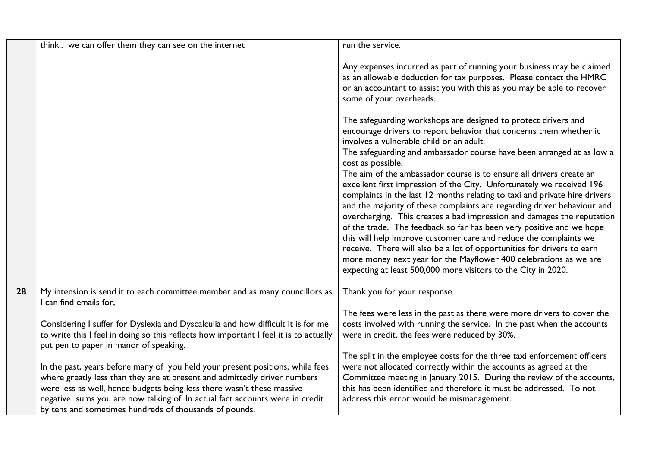|    | think we can offer them they can see on the internet                                                                                                                                                                                                                                                                                                                           | run the service.                                                                                                                                                                                                                                                                                                                                                                                                                                                                                                                                                                                                                                                                                                                                                                                                                                                                                                                                                                                                               |
|----|--------------------------------------------------------------------------------------------------------------------------------------------------------------------------------------------------------------------------------------------------------------------------------------------------------------------------------------------------------------------------------|--------------------------------------------------------------------------------------------------------------------------------------------------------------------------------------------------------------------------------------------------------------------------------------------------------------------------------------------------------------------------------------------------------------------------------------------------------------------------------------------------------------------------------------------------------------------------------------------------------------------------------------------------------------------------------------------------------------------------------------------------------------------------------------------------------------------------------------------------------------------------------------------------------------------------------------------------------------------------------------------------------------------------------|
|    |                                                                                                                                                                                                                                                                                                                                                                                | Any expenses incurred as part of running your business may be claimed<br>as an allowable deduction for tax purposes. Please contact the HMRC<br>or an accountant to assist you with this as you may be able to recover<br>some of your overheads.                                                                                                                                                                                                                                                                                                                                                                                                                                                                                                                                                                                                                                                                                                                                                                              |
|    |                                                                                                                                                                                                                                                                                                                                                                                | The safeguarding workshops are designed to protect drivers and<br>encourage drivers to report behavior that concerns them whether it<br>involves a vulnerable child or an adult.<br>The safeguarding and ambassador course have been arranged at as low a<br>cost as possible.<br>The aim of the ambassador course is to ensure all drivers create an<br>excellent first impression of the City. Unfortunately we received 196<br>complaints in the last 12 months relating to taxi and private hire drivers<br>and the majority of these complaints are regarding driver behaviour and<br>overcharging. This creates a bad impression and damages the reputation<br>of the trade. The feedback so far has been very positive and we hope<br>this will help improve customer care and reduce the complaints we<br>receive. There will also be a lot of opportunities for drivers to earn<br>more money next year for the Mayflower 400 celebrations as we are<br>expecting at least 500,000 more visitors to the City in 2020. |
| 28 | My intension is send it to each committee member and as many councillors as<br>I can find emails for,                                                                                                                                                                                                                                                                          | Thank you for your response.                                                                                                                                                                                                                                                                                                                                                                                                                                                                                                                                                                                                                                                                                                                                                                                                                                                                                                                                                                                                   |
|    | Considering I suffer for Dyslexia and Dyscalculia and how difficult it is for me<br>to write this I feel in doing so this reflects how important I feel it is to actually<br>put pen to paper in manor of speaking.                                                                                                                                                            | The fees were less in the past as there were more drivers to cover the<br>costs involved with running the service. In the past when the accounts<br>were in credit, the fees were reduced by 30%.                                                                                                                                                                                                                                                                                                                                                                                                                                                                                                                                                                                                                                                                                                                                                                                                                              |
|    | In the past, years before many of you held your present positions, while fees<br>where greatly less than they are at present and admittedly driver numbers<br>were less as well, hence budgets being less there wasn't these massive<br>negative sums you are now talking of. In actual fact accounts were in credit<br>by tens and sometimes hundreds of thousands of pounds. | The split in the employee costs for the three taxi enforcement officers<br>were not allocated correctly within the accounts as agreed at the<br>Committee meeting in January 2015. During the review of the accounts,<br>this has been identified and therefore it must be addressed. To not<br>address this error would be mismanagement.                                                                                                                                                                                                                                                                                                                                                                                                                                                                                                                                                                                                                                                                                     |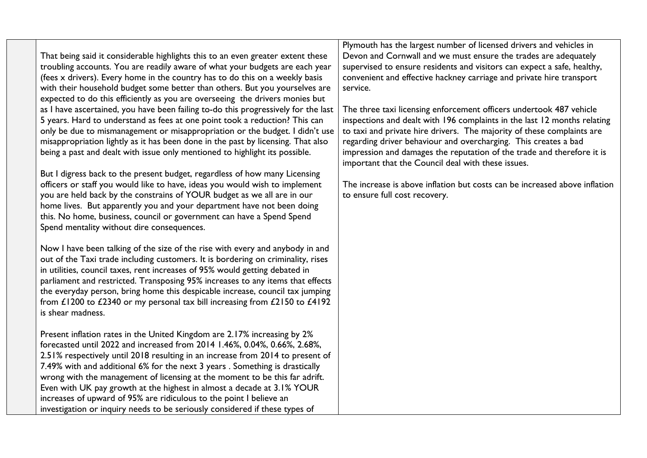That being said it considerable highlights this to an even greater extent these troubling accounts. You are readily aware of what your budgets are each year (fees x drivers). Every home in the country has to do this on a weekly basis with their household budget some better than others. But you yourselves are expected to do this efficiently as you are overseeing the drivers monies but as I have ascertained, you have been failing to-do this progressively for the last 5 years. Hard to understand as fees at one point took a reduction? This can only be due to mismanagement or misappropriation or the budget. I didn't use misappropriation lightly as it has been done in the past by licensing. That also being a past and dealt with issue only mentioned to highlight its possible.

But I digress back to the present budget, regardless of how many Licensing officers or staff you would like to have, ideas you would wish to implement you are held back by the constrains of YOUR budget as we all are in our home lives. But apparently you and your department have not been doing this. No home, business, council or government can have a Spend Spend Spend mentality without dire consequences.

Now I have been talking of the size of the rise with every and anybody in and out of the Taxi trade including customers. It is bordering on criminality, rises in utilities, council taxes, rent increases of 95% would getting debated in parliament and restricted. Transposing 95% increases to any items that effects the everyday person, bring home this despicable increase, council tax jumping from £1200 to £2340 or my personal tax bill increasing from £2150 to £4192 is shear madness.

Present inflation rates in the United Kingdom are 2.17% increasing by 2% forecasted until 2022 and increased from 2014 1.46%, 0.04%, 0.66%, 2.68%, 2.51% respectively until 2018 resulting in an increase from 2014 to present of 7.49% with and additional 6% for the next 3 years . Something is drastically wrong with the management of licensing at the moment to be this far adrift. Even with UK pay growth at the highest in almost a decade at 3.1% YOUR increases of upward of 95% are ridiculous to the point I believe an investigation or inquiry needs to be seriously considered if these types of

Plymouth has the largest number of licensed drivers and vehicles in Devon and Cornwall and we must ensure the trades are adequately supervised to ensure residents and visitors can expect a safe, healthy, convenient and effective hackney carriage and private hire transport service.

The three taxi licensing enforcement officers undertook 487 vehicle inspections and dealt with 196 complaints in the last 12 months relating to taxi and private hire drivers. The majority of these complaints are regarding driver behaviour and overcharging. This creates a bad impression and damages the reputation of the trade and therefore it is important that the Council deal with these issues.

The increase is above inflation but costs can be increased above inflation to ensure full cost recovery.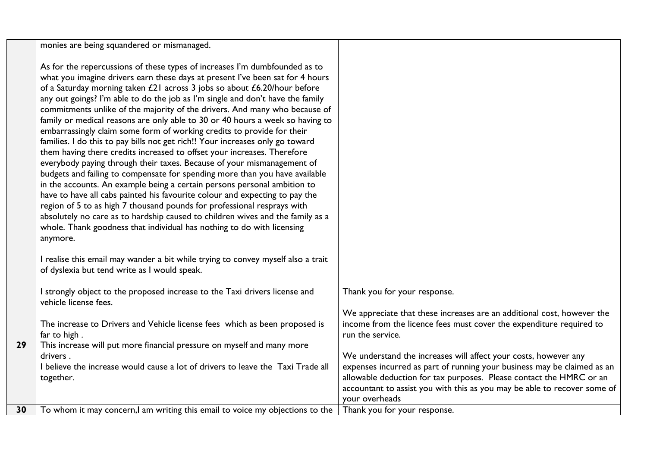|    | monies are being squandered or mismanaged.                                                                                                                                                                                                                                                                                                                                                                                                                                                                                                                                                                                                                                                                                                                                                                                                                                                                                                                                                                                                                                                                                                                                                                                                                                                                                                                                                                                                |                                                                                                                                                                                                                                                                                                                 |
|----|-------------------------------------------------------------------------------------------------------------------------------------------------------------------------------------------------------------------------------------------------------------------------------------------------------------------------------------------------------------------------------------------------------------------------------------------------------------------------------------------------------------------------------------------------------------------------------------------------------------------------------------------------------------------------------------------------------------------------------------------------------------------------------------------------------------------------------------------------------------------------------------------------------------------------------------------------------------------------------------------------------------------------------------------------------------------------------------------------------------------------------------------------------------------------------------------------------------------------------------------------------------------------------------------------------------------------------------------------------------------------------------------------------------------------------------------|-----------------------------------------------------------------------------------------------------------------------------------------------------------------------------------------------------------------------------------------------------------------------------------------------------------------|
|    | As for the repercussions of these types of increases I'm dumbfounded as to<br>what you imagine drivers earn these days at present I've been sat for 4 hours<br>of a Saturday morning taken £21 across 3 jobs so about £6.20/hour before<br>any out goings? I'm able to do the job as I'm single and don't have the family<br>commitments unlike of the majority of the drivers. And many who because of<br>family or medical reasons are only able to 30 or 40 hours a week so having to<br>embarrassingly claim some form of working credits to provide for their<br>families. I do this to pay bills not get rich!! Your increases only go toward<br>them having there credits increased to offset your increases. Therefore<br>everybody paying through their taxes. Because of your mismanagement of<br>budgets and failing to compensate for spending more than you have available<br>in the accounts. An example being a certain persons personal ambition to<br>have to have all cabs painted his favourite colour and expecting to pay the<br>region of 5 to as high 7 thousand pounds for professional resprays with<br>absolutely no care as to hardship caused to children wives and the family as a<br>whole. Thank goodness that individual has nothing to do with licensing<br>anymore.<br>I realise this email may wander a bit while trying to convey myself also a trait<br>of dyslexia but tend write as I would speak. |                                                                                                                                                                                                                                                                                                                 |
|    | I strongly object to the proposed increase to the Taxi drivers license and<br>vehicle license fees.                                                                                                                                                                                                                                                                                                                                                                                                                                                                                                                                                                                                                                                                                                                                                                                                                                                                                                                                                                                                                                                                                                                                                                                                                                                                                                                                       | Thank you for your response.                                                                                                                                                                                                                                                                                    |
| 29 | The increase to Drivers and Vehicle license fees which as been proposed is<br>far to high.<br>This increase will put more financial pressure on myself and many more                                                                                                                                                                                                                                                                                                                                                                                                                                                                                                                                                                                                                                                                                                                                                                                                                                                                                                                                                                                                                                                                                                                                                                                                                                                                      | We appreciate that these increases are an additional cost, however the<br>income from the licence fees must cover the expenditure required to<br>run the service.                                                                                                                                               |
|    | drivers.<br>I believe the increase would cause a lot of drivers to leave the Taxi Trade all<br>together.                                                                                                                                                                                                                                                                                                                                                                                                                                                                                                                                                                                                                                                                                                                                                                                                                                                                                                                                                                                                                                                                                                                                                                                                                                                                                                                                  | We understand the increases will affect your costs, however any<br>expenses incurred as part of running your business may be claimed as an<br>allowable deduction for tax purposes. Please contact the HMRC or an<br>accountant to assist you with this as you may be able to recover some of<br>your overheads |
| 30 | To whom it may concern,I am writing this email to voice my objections to the                                                                                                                                                                                                                                                                                                                                                                                                                                                                                                                                                                                                                                                                                                                                                                                                                                                                                                                                                                                                                                                                                                                                                                                                                                                                                                                                                              | Thank you for your response.                                                                                                                                                                                                                                                                                    |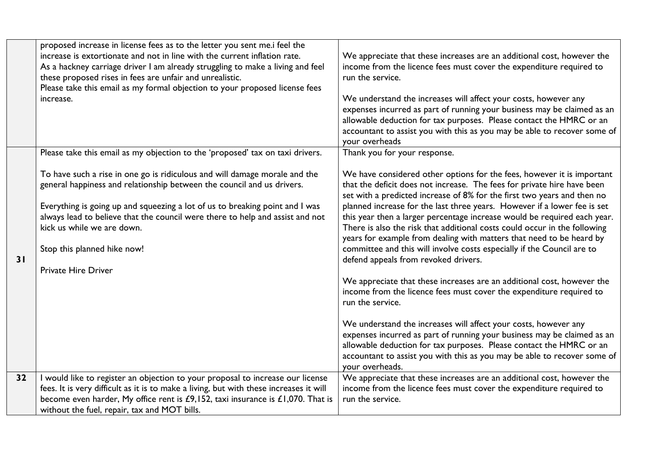|    | proposed increase in license fees as to the letter you sent me.i feel the<br>increase is extortionate and not in line with the current inflation rate.<br>As a hackney carriage driver I am already struggling to make a living and feel<br>these proposed rises in fees are unfair and unrealistic.<br>Please take this email as my formal objection to your proposed license fees<br>increase.                                                                                                  | We appreciate that these increases are an additional cost, however the<br>income from the licence fees must cover the expenditure required to<br>run the service.<br>We understand the increases will affect your costs, however any<br>expenses incurred as part of running your business may be claimed as an<br>allowable deduction for tax purposes. Please contact the HMRC or an<br>accountant to assist you with this as you may be able to recover some of<br>your overheads                                                                                                                                                                                                                                                                                                                                                                                                                                                                                                                                                                                                  |
|----|---------------------------------------------------------------------------------------------------------------------------------------------------------------------------------------------------------------------------------------------------------------------------------------------------------------------------------------------------------------------------------------------------------------------------------------------------------------------------------------------------|---------------------------------------------------------------------------------------------------------------------------------------------------------------------------------------------------------------------------------------------------------------------------------------------------------------------------------------------------------------------------------------------------------------------------------------------------------------------------------------------------------------------------------------------------------------------------------------------------------------------------------------------------------------------------------------------------------------------------------------------------------------------------------------------------------------------------------------------------------------------------------------------------------------------------------------------------------------------------------------------------------------------------------------------------------------------------------------|
| 31 | Please take this email as my objection to the 'proposed' tax on taxi drivers.<br>To have such a rise in one go is ridiculous and will damage morale and the<br>general happiness and relationship between the council and us drivers.<br>Everything is going up and squeezing a lot of us to breaking point and I was<br>always lead to believe that the council were there to help and assist and not<br>kick us while we are down.<br>Stop this planned hike now!<br><b>Private Hire Driver</b> | Thank you for your response.<br>We have considered other options for the fees, however it is important<br>that the deficit does not increase. The fees for private hire have been<br>set with a predicted increase of 8% for the first two years and then no<br>planned increase for the last three years. However if a lower fee is set<br>this year then a larger percentage increase would be required each year.<br>There is also the risk that additional costs could occur in the following<br>years for example from dealing with matters that need to be heard by<br>committee and this will involve costs especially if the Council are to<br>defend appeals from revoked drivers.<br>We appreciate that these increases are an additional cost, however the<br>income from the licence fees must cover the expenditure required to<br>run the service.<br>We understand the increases will affect your costs, however any<br>expenses incurred as part of running your business may be claimed as an<br>allowable deduction for tax purposes. Please contact the HMRC or an |
| 32 | I would like to register an objection to your proposal to increase our license<br>fees. It is very difficult as it is to make a living, but with these increases it will<br>become even harder, My office rent is £9,152, taxi insurance is £1,070. That is<br>without the fuel, repair, tax and MOT bills.                                                                                                                                                                                       | accountant to assist you with this as you may be able to recover some of<br>your overheads.<br>We appreciate that these increases are an additional cost, however the<br>income from the licence fees must cover the expenditure required to<br>run the service.                                                                                                                                                                                                                                                                                                                                                                                                                                                                                                                                                                                                                                                                                                                                                                                                                      |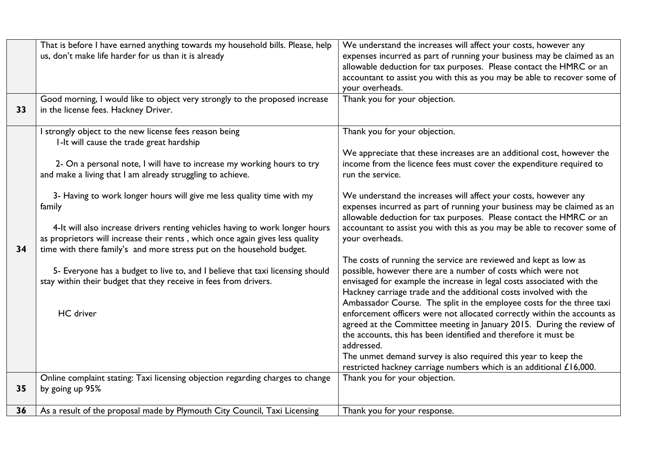|    | That is before I have earned anything towards my household bills. Please, help | We understand the increases will affect your costs, however any                                                                            |
|----|--------------------------------------------------------------------------------|--------------------------------------------------------------------------------------------------------------------------------------------|
|    | us, don't make life harder for us than it is already                           | expenses incurred as part of running your business may be claimed as an                                                                    |
|    |                                                                                | allowable deduction for tax purposes. Please contact the HMRC or an                                                                        |
|    |                                                                                | accountant to assist you with this as you may be able to recover some of                                                                   |
|    |                                                                                | your overheads.                                                                                                                            |
| 33 | Good morning, I would like to object very strongly to the proposed increase    | Thank you for your objection.                                                                                                              |
|    | in the license fees. Hackney Driver.                                           |                                                                                                                                            |
|    | I strongly object to the new license fees reason being                         | Thank you for your objection.                                                                                                              |
|    | I-It will cause the trade great hardship                                       |                                                                                                                                            |
|    |                                                                                | We appreciate that these increases are an additional cost, however the                                                                     |
|    | 2- On a personal note, I will have to increase my working hours to try         | income from the licence fees must cover the expenditure required to                                                                        |
|    | and make a living that I am already struggling to achieve.                     | run the service.                                                                                                                           |
|    | 3- Having to work longer hours will give me less quality time with my          | We understand the increases will affect your costs, however any                                                                            |
|    | family                                                                         | expenses incurred as part of running your business may be claimed as an                                                                    |
|    |                                                                                | allowable deduction for tax purposes. Please contact the HMRC or an                                                                        |
|    | 4-It will also increase drivers renting vehicles having to work longer hours   | accountant to assist you with this as you may be able to recover some of                                                                   |
|    | as proprietors will increase their rents, which once again gives less quality  | your overheads.                                                                                                                            |
| 34 | time with there family's and more stress put on the household budget.          |                                                                                                                                            |
|    |                                                                                | The costs of running the service are reviewed and kept as low as                                                                           |
|    | 5- Everyone has a budget to live to, and I believe that taxi licensing should  | possible, however there are a number of costs which were not                                                                               |
|    | stay within their budget that they receive in fees from drivers.               | envisaged for example the increase in legal costs associated with the<br>Hackney carriage trade and the additional costs involved with the |
|    |                                                                                | Ambassador Course. The split in the employee costs for the three taxi                                                                      |
|    | HC driver                                                                      | enforcement officers were not allocated correctly within the accounts as                                                                   |
|    |                                                                                | agreed at the Committee meeting in January 2015. During the review of                                                                      |
|    |                                                                                | the accounts, this has been identified and therefore it must be                                                                            |
|    |                                                                                | addressed.                                                                                                                                 |
|    |                                                                                | The unmet demand survey is also required this year to keep the                                                                             |
|    |                                                                                | restricted hackney carriage numbers which is an additional £16,000.                                                                        |
|    | Online complaint stating: Taxi licensing objection regarding charges to change | Thank you for your objection.                                                                                                              |
| 35 | by going up 95%                                                                |                                                                                                                                            |
| 36 | As a result of the proposal made by Plymouth City Council, Taxi Licensing      | Thank you for your response.                                                                                                               |
|    |                                                                                |                                                                                                                                            |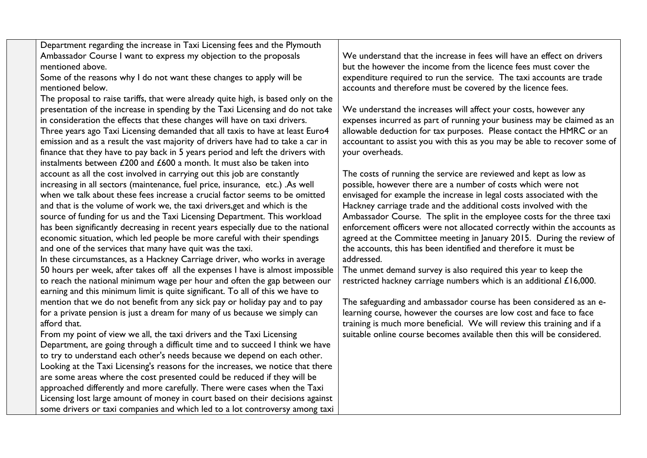| Department regarding the increase in Taxi Licensing fees and the Plymouth         |                                                                          |
|-----------------------------------------------------------------------------------|--------------------------------------------------------------------------|
| Ambassador Course I want to express my objection to the proposals                 | We understand that the increase in fees will have an effect on drivers   |
| mentioned above.                                                                  | but the however the income from the licence fees must cover the          |
| Some of the reasons why I do not want these changes to apply will be              | expenditure required to run the service. The taxi accounts are trade     |
| mentioned below.                                                                  | accounts and therefore must be covered by the licence fees.              |
| The proposal to raise tariffs, that were already quite high, is based only on the |                                                                          |
| presentation of the increase in spending by the Taxi Licensing and do not take    | We understand the increases will affect your costs, however any          |
| in consideration the effects that these changes will have on taxi drivers.        | expenses incurred as part of running your business may be claimed as an  |
| Three years ago Taxi Licensing demanded that all taxis to have at least Euro4     | allowable deduction for tax purposes. Please contact the HMRC or an      |
| emission and as a result the vast majority of drivers have had to take a car in   | accountant to assist you with this as you may be able to recover some of |
| finance that they have to pay back in 5 years period and left the drivers with    | your overheads.                                                          |
| instalments between £200 and £600 a month. It must also be taken into             |                                                                          |
| account as all the cost involved in carrying out this job are constantly          | The costs of running the service are reviewed and kept as low as         |
| increasing in all sectors (maintenance, fuel price, insurance, etc.) .As well     | possible, however there are a number of costs which were not             |
| when we talk about these fees increase a crucial factor seems to be omitted       | envisaged for example the increase in legal costs associated with the    |
| and that is the volume of work we, the taxi drivers, get and which is the         | Hackney carriage trade and the additional costs involved with the        |
| source of funding for us and the Taxi Licensing Department. This workload         | Ambassador Course. The split in the employee costs for the three taxi    |
| has been significantly decreasing in recent years especially due to the national  | enforcement officers were not allocated correctly within the accounts as |
| economic situation, which led people be more careful with their spendings         | agreed at the Committee meeting in January 2015. During the review of    |
| and one of the services that many have quit was the taxi.                         | the accounts, this has been identified and therefore it must be          |
| In these circumstances, as a Hackney Carriage driver, who works in average        | addressed.                                                               |
| 50 hours per week, after takes off all the expenses I have is almost impossible   | The unmet demand survey is also required this year to keep the           |
| to reach the national minimum wage per hour and often the gap between our         | restricted hackney carriage numbers which is an additional £16,000.      |
| earning and this minimum limit is quite significant. To all of this we have to    |                                                                          |
| mention that we do not benefit from any sick pay or holiday pay and to pay        | The safeguarding and ambassador course has been considered as an e-      |
| for a private pension is just a dream for many of us because we simply can        | learning course, however the courses are low cost and face to face       |
| afford that.                                                                      | training is much more beneficial. We will review this training and if a  |
| From my point of view we all, the taxi drivers and the Taxi Licensing             | suitable online course becomes available then this will be considered.   |
| Department, are going through a difficult time and to succeed I think we have     |                                                                          |
| to try to understand each other's needs because we depend on each other.          |                                                                          |
| Looking at the Taxi Licensing's reasons for the increases, we notice that there   |                                                                          |
| are some areas where the cost presented could be reduced if they will be          |                                                                          |
| approached differently and more carefully. There were cases when the Taxi         |                                                                          |
| Licensing lost large amount of money in court based on their decisions against    |                                                                          |
| some drivers or taxi companies and which led to a lot controversy among taxi      |                                                                          |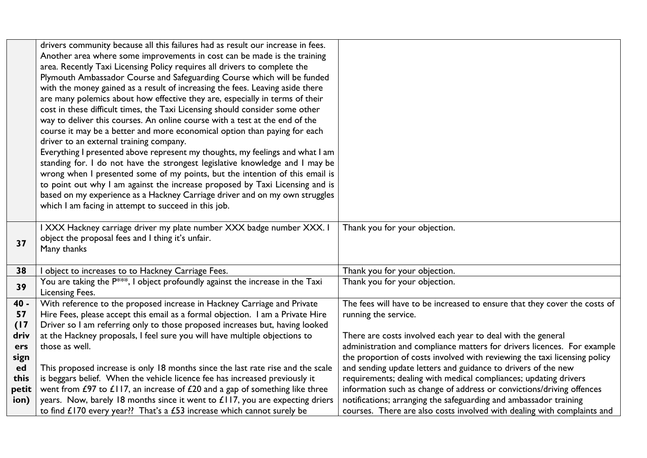|        | drivers community because all this failures had as result our increase in fees.            |                                                                           |
|--------|--------------------------------------------------------------------------------------------|---------------------------------------------------------------------------|
|        | Another area where some improvements in cost can be made is the training                   |                                                                           |
|        | area. Recently Taxi Licensing Policy requires all drivers to complete the                  |                                                                           |
|        | Plymouth Ambassador Course and Safeguarding Course which will be funded                    |                                                                           |
|        | with the money gained as a result of increasing the fees. Leaving aside there              |                                                                           |
|        | are many polemics about how effective they are, especially in terms of their               |                                                                           |
|        | cost in these difficult times, the Taxi Licensing should consider some other               |                                                                           |
|        | way to deliver this courses. An online course with a test at the end of the                |                                                                           |
|        | course it may be a better and more economical option than paying for each                  |                                                                           |
|        | driver to an external training company.                                                    |                                                                           |
|        | Everything I presented above represent my thoughts, my feelings and what I am              |                                                                           |
|        | standing for. I do not have the strongest legislative knowledge and I may be               |                                                                           |
|        | wrong when I presented some of my points, but the intention of this email is               |                                                                           |
|        | to point out why I am against the increase proposed by Taxi Licensing and is               |                                                                           |
|        | based on my experience as a Hackney Carriage driver and on my own struggles                |                                                                           |
|        | which I am facing in attempt to succeed in this job.                                       |                                                                           |
|        |                                                                                            |                                                                           |
|        | I XXX Hackney carriage driver my plate number XXX badge number XXX. I                      | Thank you for your objection.                                             |
| 37     | object the proposal fees and I thing it's unfair.                                          |                                                                           |
|        | Many thanks                                                                                |                                                                           |
| 38     | I object to increases to to Hackney Carriage Fees.                                         | Thank you for your objection.                                             |
|        | You are taking the P <sup>***</sup> , I object profoundly against the increase in the Taxi | Thank you for your objection.                                             |
| 39     | Licensing Fees.                                                                            |                                                                           |
| $40 -$ | With reference to the proposed increase in Hackney Carriage and Private                    | The fees will have to be increased to ensure that they cover the costs of |
| 57     | Hire Fees, please accept this email as a formal objection. I am a Private Hire             | running the service.                                                      |
| (17)   | Driver so I am referring only to those proposed increases but, having looked               |                                                                           |
| driv   | at the Hackney proposals, I feel sure you will have multiple objections to                 | There are costs involved each year to deal with the general               |
| ers    | those as well.                                                                             | administration and compliance matters for drivers licences. For example   |
| sign   |                                                                                            | the proportion of costs involved with reviewing the taxi licensing policy |
| ed     | This proposed increase is only 18 months since the last rate rise and the scale            | and sending update letters and guidance to drivers of the new             |
| this   | is beggars belief. When the vehicle licence fee has increased previously it                | requirements; dealing with medical compliances; updating drivers          |
| petit  | went from £97 to £117, an increase of £20 and a gap of something like three                | information such as change of address or convictions/driving offences     |
| ion)   | years. Now, barely 18 months since it went to $£117$ , you are expecting driers            | notifications; arranging the safeguarding and ambassador training         |
|        | to find $£170$ every year?? That's a $£53$ increase which cannot surely be                 | courses. There are also costs involved with dealing with complaints and   |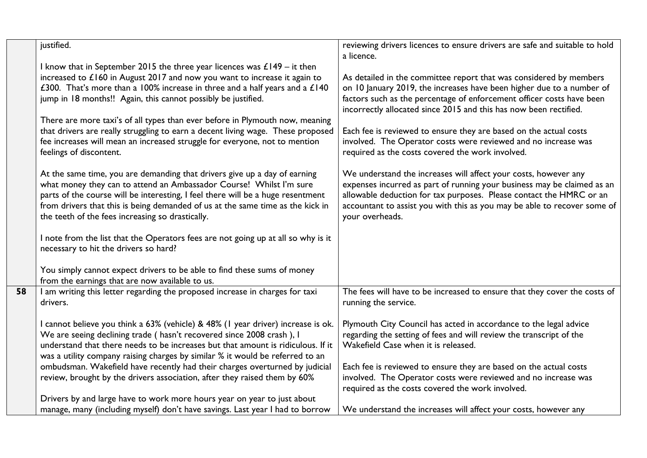|    | justified.                                                                                                                                                                                                                                                                                                                                                                | reviewing drivers licences to ensure drivers are safe and suitable to hold<br>a licence.                                                                                                                                                                                                                         |
|----|---------------------------------------------------------------------------------------------------------------------------------------------------------------------------------------------------------------------------------------------------------------------------------------------------------------------------------------------------------------------------|------------------------------------------------------------------------------------------------------------------------------------------------------------------------------------------------------------------------------------------------------------------------------------------------------------------|
|    | I know that in September 2015 the three year licences was $£149 - it$ then                                                                                                                                                                                                                                                                                                |                                                                                                                                                                                                                                                                                                                  |
|    | increased to $£160$ in August 2017 and now you want to increase it again to<br>£300. That's more than a 100% increase in three and a half years and a £140<br>jump in 18 months!! Again, this cannot possibly be justified.                                                                                                                                               | As detailed in the committee report that was considered by members<br>on 10 January 2019, the increases have been higher due to a number of<br>factors such as the percentage of enforcement officer costs have been<br>incorrectly allocated since 2015 and this has now been rectified.                        |
|    | There are more taxi's of all types than ever before in Plymouth now, meaning                                                                                                                                                                                                                                                                                              |                                                                                                                                                                                                                                                                                                                  |
|    | that drivers are really struggling to earn a decent living wage. These proposed<br>fee increases will mean an increased struggle for everyone, not to mention<br>feelings of discontent.                                                                                                                                                                                  | Each fee is reviewed to ensure they are based on the actual costs<br>involved. The Operator costs were reviewed and no increase was<br>required as the costs covered the work involved.                                                                                                                          |
|    | At the same time, you are demanding that drivers give up a day of earning<br>what money they can to attend an Ambassador Course! Whilst I'm sure<br>parts of the course will be interesting, I feel there will be a huge resentment<br>from drivers that this is being demanded of us at the same time as the kick in<br>the teeth of the fees increasing so drastically. | We understand the increases will affect your costs, however any<br>expenses incurred as part of running your business may be claimed as an<br>allowable deduction for tax purposes. Please contact the HMRC or an<br>accountant to assist you with this as you may be able to recover some of<br>your overheads. |
|    | I note from the list that the Operators fees are not going up at all so why is it<br>necessary to hit the drivers so hard?                                                                                                                                                                                                                                                |                                                                                                                                                                                                                                                                                                                  |
|    | You simply cannot expect drivers to be able to find these sums of money<br>from the earnings that are now available to us.                                                                                                                                                                                                                                                |                                                                                                                                                                                                                                                                                                                  |
| 58 | I am writing this letter regarding the proposed increase in charges for taxi<br>drivers.                                                                                                                                                                                                                                                                                  | The fees will have to be increased to ensure that they cover the costs of<br>running the service.                                                                                                                                                                                                                |
|    | I cannot believe you think a 63% (vehicle) & 48% (I year driver) increase is ok.<br>We are seeing declining trade (hasn't recovered since 2008 crash), I<br>understand that there needs to be increases but that amount is ridiculous. If it<br>was a utility company raising charges by similar % it would be referred to an                                             | Plymouth City Council has acted in accordance to the legal advice<br>regarding the setting of fees and will review the transcript of the<br>Wakefield Case when it is released.                                                                                                                                  |
|    | ombudsman. Wakefield have recently had their charges overturned by judicial<br>review, brought by the drivers association, after they raised them by 60%                                                                                                                                                                                                                  | Each fee is reviewed to ensure they are based on the actual costs<br>involved. The Operator costs were reviewed and no increase was<br>required as the costs covered the work involved.                                                                                                                          |
|    | Drivers by and large have to work more hours year on year to just about                                                                                                                                                                                                                                                                                                   |                                                                                                                                                                                                                                                                                                                  |
|    | manage, many (including myself) don't have savings. Last year I had to borrow                                                                                                                                                                                                                                                                                             | We understand the increases will affect your costs, however any                                                                                                                                                                                                                                                  |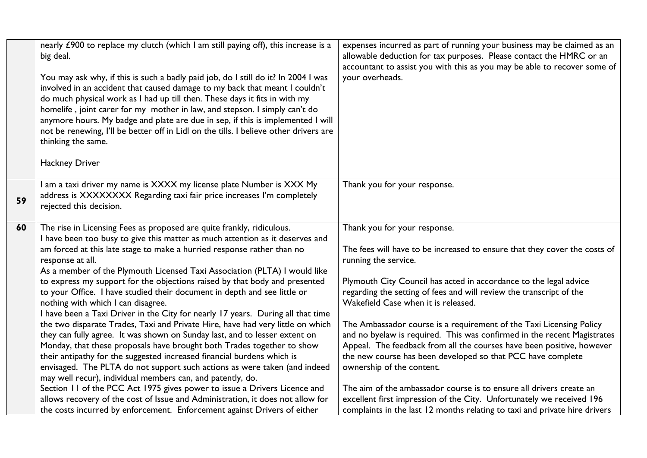|    | nearly £900 to replace my clutch (which I am still paying off), this increase is a<br>big deal.<br>You may ask why, if this is such a badly paid job, do I still do it? In 2004 I was<br>involved in an accident that caused damage to my back that meant I couldn't<br>do much physical work as I had up till then. These days it fits in with my<br>homelife, joint carer for my mother in law, and stepson. I simply can't do<br>anymore hours. My badge and plate are due in sep, if this is implemented I will<br>not be renewing, I'll be better off in Lidl on the tills. I believe other drivers are<br>thinking the same.<br>Hackney Driver | expenses incurred as part of running your business may be claimed as an<br>allowable deduction for tax purposes. Please contact the HMRC or an<br>accountant to assist you with this as you may be able to recover some of<br>your overheads.                                                                       |
|----|------------------------------------------------------------------------------------------------------------------------------------------------------------------------------------------------------------------------------------------------------------------------------------------------------------------------------------------------------------------------------------------------------------------------------------------------------------------------------------------------------------------------------------------------------------------------------------------------------------------------------------------------------|---------------------------------------------------------------------------------------------------------------------------------------------------------------------------------------------------------------------------------------------------------------------------------------------------------------------|
|    |                                                                                                                                                                                                                                                                                                                                                                                                                                                                                                                                                                                                                                                      |                                                                                                                                                                                                                                                                                                                     |
| 59 | I am a taxi driver my name is XXXX my license plate Number is XXX My<br>address is XXXXXXXX Regarding taxi fair price increases I'm completely<br>rejected this decision.                                                                                                                                                                                                                                                                                                                                                                                                                                                                            | Thank you for your response.                                                                                                                                                                                                                                                                                        |
| 60 | The rise in Licensing Fees as proposed are quite frankly, ridiculous.                                                                                                                                                                                                                                                                                                                                                                                                                                                                                                                                                                                | Thank you for your response.                                                                                                                                                                                                                                                                                        |
|    | I have been too busy to give this matter as much attention as it deserves and<br>am forced at this late stage to make a hurried response rather than no<br>response at all.<br>As a member of the Plymouth Licensed Taxi Association (PLTA) I would like<br>to express my support for the objections raised by that body and presented<br>to your Office. I have studied their document in depth and see little or<br>nothing with which I can disagree.                                                                                                                                                                                             | The fees will have to be increased to ensure that they cover the costs of<br>running the service.<br>Plymouth City Council has acted in accordance to the legal advice<br>regarding the setting of fees and will review the transcript of the<br>Wakefield Case when it is released.                                |
|    | I have been a Taxi Driver in the City for nearly 17 years. During all that time<br>the two disparate Trades, Taxi and Private Hire, have had very little on which<br>they can fully agree. It was shown on Sunday last, and to lesser extent on<br>Monday, that these proposals have brought both Trades together to show<br>their antipathy for the suggested increased financial burdens which is<br>envisaged. The PLTA do not support such actions as were taken (and indeed<br>may well recur), individual members can, and patently, do.                                                                                                       | The Ambassador course is a requirement of the Taxi Licensing Policy<br>and no byelaw is required. This was confirmed in the recent Magistrates<br>Appeal. The feedback from all the courses have been positive, however<br>the new course has been developed so that PCC have complete<br>ownership of the content. |
|    | Section 11 of the PCC Act 1975 gives power to issue a Drivers Licence and<br>allows recovery of the cost of Issue and Administration, it does not allow for                                                                                                                                                                                                                                                                                                                                                                                                                                                                                          | The aim of the ambassador course is to ensure all drivers create an<br>excellent first impression of the City. Unfortunately we received 196                                                                                                                                                                        |
|    | the costs incurred by enforcement. Enforcement against Drivers of either                                                                                                                                                                                                                                                                                                                                                                                                                                                                                                                                                                             | complaints in the last 12 months relating to taxi and private hire drivers                                                                                                                                                                                                                                          |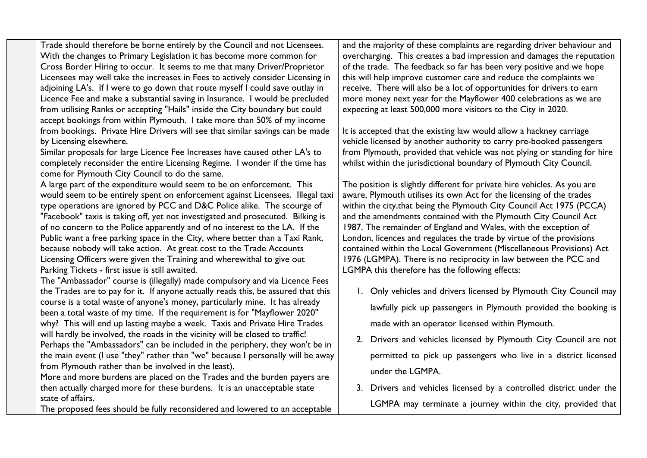Trade should therefore be borne entirely by the Council and not Licensees. With the changes to Primary Legislation it has become more common for Cross Border Hiring to occur. It seems to me that many Driver/Proprietor Licensees may well take the increases in Fees to actively consider Licensing in adjoining LA's. If I were to go down that route myself I could save outlay in Licence Fee and make a substantial saving in Insurance. I would be precluded from utilising Ranks or accepting "Hails" inside the City boundary but could accept bookings from within Plymouth. I take more than 50% of my income from bookings. Private Hire Drivers will see that similar savings can be made by Licensing elsewhere.

Similar proposals for large Licence Fee Increases have caused other LA's to completely reconsider the entire Licensing Regime. I wonder if the time has come for Plymouth City Council to do the same.

A large part of the expenditure would seem to be on enforcement. This would seem to be entirely spent on enforcement against Licensees. Illegal taxi type operations are ignored by PCC and D&C Police alike. The scourge of "Facebook" taxis is taking off, yet not investigated and prosecuted. Bilking is of no concern to the Police apparently and of no interest to the LA. If the Public want a free parking space in the City, where better than a Taxi Rank, because nobody will take action. At great cost to the Trade Accounts Licensing Officers were given the Training and wherewithal to give out Parking Tickets - first issue is still awaited.

The "Ambassador" course is (illegally) made compulsory and via Licence Fees the Trades are to pay for it. If anyone actually reads this, be assured that this course is a total waste of anyone's money, particularly mine. It has already been a total waste of my time. If the requirement is for "Mayflower 2020" why? This will end up lasting maybe a week. Taxis and Private Hire Trades will hardly be involved, the roads in the vicinity will be closed to traffic! Perhaps the "Ambassadors" can be included in the periphery, they won't be in the main event (I use "they" rather than "we" because I personally will be away from Plymouth rather than be involved in the least).

More and more burdens are placed on the Trades and the burden payers are then actually charged more for these burdens. It is an unacceptable state state of affairs.

The proposed fees should be fully reconsidered and lowered to an acceptable

and the majority of these complaints are regarding driver behaviour and overcharging. This creates a bad impression and damages the reputation of the trade. The feedback so far has been very positive and we hope this will help improve customer care and reduce the complaints we receive. There will also be a lot of opportunities for drivers to earn more money next year for the Mayflower 400 celebrations as we are expecting at least 500,000 more visitors to the City in 2020.

It is accepted that the existing law would allow a hackney carriage vehicle licensed by another authority to carry pre-booked passengers from Plymouth, provided that vehicle was not plying or standing for hire whilst within the jurisdictional boundary of Plymouth City Council.

The position is slightly different for private hire vehicles. As you are aware, Plymouth utilises its own Act for the licensing of the trades within the city,that being the Plymouth City Council Act 1975 (PCCA) and the amendments contained with the Plymouth City Council Act 1987. The remainder of England and Wales, with the exception of London, licences and regulates the trade by virtue of the provisions contained within the Local Government (Miscellaneous Provisions) Act 1976 (LGMPA). There is no reciprocity in law between the PCC and LGMPA this therefore has the following effects:

- 1. Only vehicles and drivers licensed by Plymouth City Council may lawfully pick up passengers in Plymouth provided the booking is made with an operator licensed within Plymouth.
- 2. Drivers and vehicles licensed by Plymouth City Council are not permitted to pick up passengers who live in a district licensed under the LGMPA.
- 3. Drivers and vehicles licensed by a controlled district under the LGMPA may terminate a journey within the city, provided that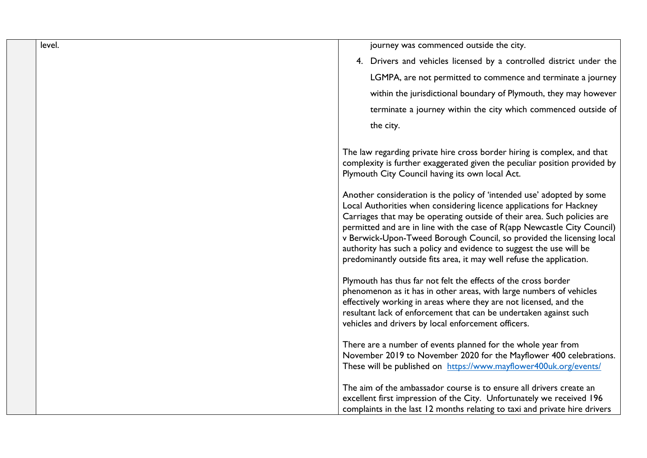level. journey was commenced outside the city.

4. Drivers and vehicles licensed by a controlled district under the LGMPA, are not permitted to commence and terminate a journey within the jurisdictional boundary of Plymouth, they may however terminate a journey within the city which commenced outside of the city.

The law regarding private hire cross border hiring is complex, and that complexity is further exaggerated given the peculiar position provided by Plymouth City Council having its own local Act.

Another consideration is the policy of 'intended use' adopted by some Local Authorities when considering licence applications for Hackney Carriages that may be operating outside of their area. Such policies are permitted and are in line with the case of R(app Newcastle City Council) v Berwick-Upon-Tweed Borough Council, so provided the licensing local authority has such a policy and evidence to suggest the use will be predominantly outside fits area, it may well refuse the application. Plymouth has thus far not felt the effects of the cross border phenomenon as it has in other areas, with large numbers of vehicles effectively working in areas where they are not licensed, and the resultant lack of enforcement that can be undertaken against such vehicles and drivers by local enforcement officers. There are a number of events planned for the whole year from November 2019 to November 2020 for the Mayflower 400 celebrations. These will be published on <https://www.mayflower400uk.org/events/>

The aim of the ambassador course is to ensure all drivers create an excellent first impression of the City. Unfortunately we received 196 complaints in the last 12 months relating to taxi and private hire drivers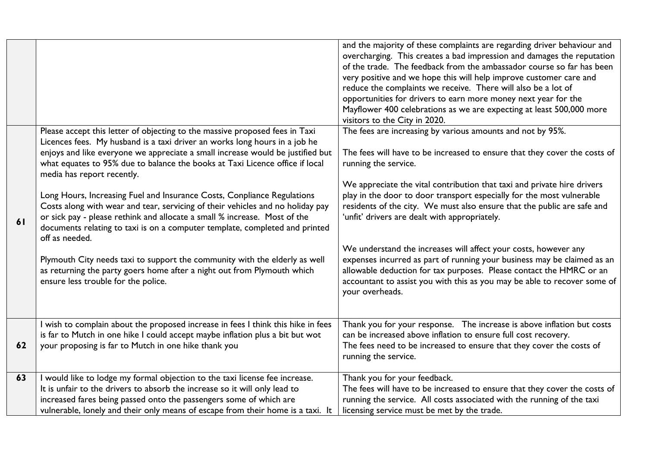|    |                                                                                                                | and the majority of these complaints are regarding driver behaviour and                                                                         |
|----|----------------------------------------------------------------------------------------------------------------|-------------------------------------------------------------------------------------------------------------------------------------------------|
|    |                                                                                                                | overcharging. This creates a bad impression and damages the reputation<br>of the trade. The feedback from the ambassador course so far has been |
|    |                                                                                                                | very positive and we hope this will help improve customer care and                                                                              |
|    |                                                                                                                | reduce the complaints we receive. There will also be a lot of                                                                                   |
|    |                                                                                                                | opportunities for drivers to earn more money next year for the                                                                                  |
|    |                                                                                                                | Mayflower 400 celebrations as we are expecting at least 500,000 more                                                                            |
|    |                                                                                                                | visitors to the City in 2020.                                                                                                                   |
|    | Please accept this letter of objecting to the massive proposed fees in Taxi                                    | The fees are increasing by various amounts and not by 95%.                                                                                      |
|    | Licences fees. My husband is a taxi driver an works long hours in a job he                                     |                                                                                                                                                 |
|    | enjoys and like everyone we appreciate a small increase would be justified but                                 | The fees will have to be increased to ensure that they cover the costs of                                                                       |
|    | what equates to 95% due to balance the books at Taxi Licence office if local                                   | running the service.                                                                                                                            |
|    | media has report recently.                                                                                     | We appreciate the vital contribution that taxi and private hire drivers                                                                         |
|    | Long Hours, Increasing Fuel and Insurance Costs, Conpliance Regulations                                        | play in the door to door transport especially for the most vulnerable                                                                           |
|    | Costs along with wear and tear, servicing of their vehicles and no holiday pay                                 | residents of the city. We must also ensure that the public are safe and                                                                         |
|    | or sick pay - please rethink and allocate a small % increase. Most of the                                      | 'unfit' drivers are dealt with appropriately.                                                                                                   |
| 61 | documents relating to taxi is on a computer template, completed and printed                                    |                                                                                                                                                 |
|    | off as needed.                                                                                                 |                                                                                                                                                 |
|    |                                                                                                                | We understand the increases will affect your costs, however any                                                                                 |
|    | Plymouth City needs taxi to support the community with the elderly as well                                     | expenses incurred as part of running your business may be claimed as an                                                                         |
|    | as returning the party goers home after a night out from Plymouth which<br>ensure less trouble for the police. | allowable deduction for tax purposes. Please contact the HMRC or an<br>accountant to assist you with this as you may be able to recover some of |
|    |                                                                                                                | your overheads.                                                                                                                                 |
|    |                                                                                                                |                                                                                                                                                 |
|    |                                                                                                                |                                                                                                                                                 |
|    | I wish to complain about the proposed increase in fees I think this hike in fees                               | Thank you for your response. The increase is above inflation but costs                                                                          |
|    | is far to Mutch in one hike I could accept maybe inflation plus a bit but wot                                  | can be increased above inflation to ensure full cost recovery.                                                                                  |
| 62 | your proposing is far to Mutch in one hike thank you                                                           | The fees need to be increased to ensure that they cover the costs of                                                                            |
|    |                                                                                                                | running the service.                                                                                                                            |
| 63 | I would like to lodge my formal objection to the taxi license fee increase.                                    | Thank you for your feedback.                                                                                                                    |
|    | It is unfair to the drivers to absorb the increase so it will only lead to                                     | The fees will have to be increased to ensure that they cover the costs of                                                                       |
|    | increased fares being passed onto the passengers some of which are                                             | running the service. All costs associated with the running of the taxi                                                                          |
|    | vulnerable, lonely and their only means of escape from their home is a taxi. It                                | licensing service must be met by the trade.                                                                                                     |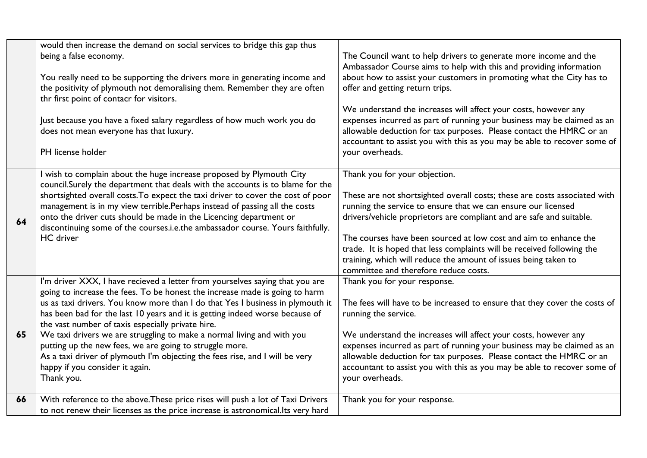|    | would then increase the demand on social services to bridge this gap thus<br>being a false economy.<br>You really need to be supporting the drivers more in generating income and<br>the positivity of plymouth not demoralising them. Remember they are often<br>thr first point of contacr for visitors.<br>Just because you have a fixed salary regardless of how much work you do<br>does not mean everyone has that luxury.<br>PH license holder                                                                                                                                                                                                    | The Council want to help drivers to generate more income and the<br>Ambassador Course aims to help with this and providing information<br>about how to assist your customers in promoting what the City has to<br>offer and getting return trips.<br>We understand the increases will affect your costs, however any<br>expenses incurred as part of running your business may be claimed as an<br>allowable deduction for tax purposes. Please contact the HMRC or an<br>accountant to assist you with this as you may be able to recover some of<br>your overheads. |
|----|----------------------------------------------------------------------------------------------------------------------------------------------------------------------------------------------------------------------------------------------------------------------------------------------------------------------------------------------------------------------------------------------------------------------------------------------------------------------------------------------------------------------------------------------------------------------------------------------------------------------------------------------------------|-----------------------------------------------------------------------------------------------------------------------------------------------------------------------------------------------------------------------------------------------------------------------------------------------------------------------------------------------------------------------------------------------------------------------------------------------------------------------------------------------------------------------------------------------------------------------|
| 64 | I wish to complain about the huge increase proposed by Plymouth City<br>council.Surely the department that deals with the accounts is to blame for the<br>shortsighted overall costs. To expect the taxi driver to cover the cost of poor<br>management is in my view terrible. Perhaps instead of passing all the costs<br>onto the driver cuts should be made in the Licencing department or<br>discontinuing some of the courses.i.e.the ambassador course. Yours faithfully.<br><b>HC</b> driver                                                                                                                                                     | Thank you for your objection.<br>These are not shortsighted overall costs; these are costs associated with<br>running the service to ensure that we can ensure our licensed<br>drivers/vehicle proprietors are compliant and are safe and suitable.<br>The courses have been sourced at low cost and aim to enhance the<br>trade. It is hoped that less complaints will be received following the<br>training, which will reduce the amount of issues being taken to<br>committee and therefore reduce costs.                                                         |
| 65 | I'm driver XXX, I have recieved a letter from yourselves saying that you are<br>going to increase the fees. To be honest the increase made is going to harm<br>us as taxi drivers. You know more than I do that Yes I business in plymouth it<br>has been bad for the last 10 years and it is getting indeed worse because of<br>the vast number of taxis especially private hire.<br>We taxi drivers we are struggling to make a normal living and with you<br>putting up the new fees, we are going to struggle more.<br>As a taxi driver of plymouth I'm objecting the fees rise, and I will be very<br>happy if you consider it again.<br>Thank you. | Thank you for your response.<br>The fees will have to be increased to ensure that they cover the costs of<br>running the service.<br>We understand the increases will affect your costs, however any<br>expenses incurred as part of running your business may be claimed as an<br>allowable deduction for tax purposes. Please contact the HMRC or an<br>accountant to assist you with this as you may be able to recover some of<br>your overheads.                                                                                                                 |
| 66 | With reference to the above. These price rises will push a lot of Taxi Drivers<br>to not renew their licenses as the price increase is astronomical.lts very hard                                                                                                                                                                                                                                                                                                                                                                                                                                                                                        | Thank you for your response.                                                                                                                                                                                                                                                                                                                                                                                                                                                                                                                                          |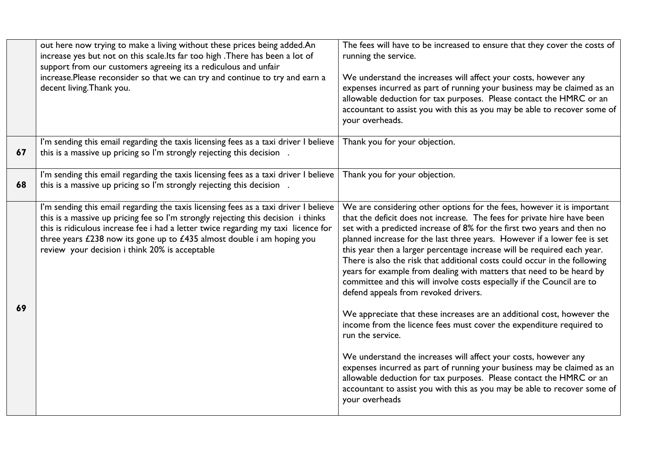|    | out here now trying to make a living without these prices being added.An<br>increase yes but not on this scale.lts far too high .There has been a lot of<br>support from our customers agreeing its a rediculous and unfair<br>increase.Please reconsider so that we can try and continue to try and earn a<br>decent living. Thank you.                                                        | The fees will have to be increased to ensure that they cover the costs of<br>running the service.<br>We understand the increases will affect your costs, however any<br>expenses incurred as part of running your business may be claimed as an<br>allowable deduction for tax purposes. Please contact the HMRC or an<br>accountant to assist you with this as you may be able to recover some of<br>your overheads.                                                                                                                                                                                                                                                                                                                                                                                                                                                                                                                                                                                                                                                                                                                              |
|----|-------------------------------------------------------------------------------------------------------------------------------------------------------------------------------------------------------------------------------------------------------------------------------------------------------------------------------------------------------------------------------------------------|----------------------------------------------------------------------------------------------------------------------------------------------------------------------------------------------------------------------------------------------------------------------------------------------------------------------------------------------------------------------------------------------------------------------------------------------------------------------------------------------------------------------------------------------------------------------------------------------------------------------------------------------------------------------------------------------------------------------------------------------------------------------------------------------------------------------------------------------------------------------------------------------------------------------------------------------------------------------------------------------------------------------------------------------------------------------------------------------------------------------------------------------------|
| 67 | I'm sending this email regarding the taxis licensing fees as a taxi driver I believe<br>this is a massive up pricing so I'm strongly rejecting this decision.                                                                                                                                                                                                                                   | Thank you for your objection.                                                                                                                                                                                                                                                                                                                                                                                                                                                                                                                                                                                                                                                                                                                                                                                                                                                                                                                                                                                                                                                                                                                      |
| 68 | I'm sending this email regarding the taxis licensing fees as a taxi driver I believe<br>this is a massive up pricing so I'm strongly rejecting this decision.                                                                                                                                                                                                                                   | Thank you for your objection.                                                                                                                                                                                                                                                                                                                                                                                                                                                                                                                                                                                                                                                                                                                                                                                                                                                                                                                                                                                                                                                                                                                      |
| 69 | I'm sending this email regarding the taxis licensing fees as a taxi driver I believe<br>this is a massive up pricing fee so I'm strongly rejecting this decision i thinks<br>this is ridiculous increase fee i had a letter twice regarding my taxi licence for<br>three years $£238$ now its gone up to $£435$ almost double i am hoping you<br>review your decision i think 20% is acceptable | We are considering other options for the fees, however it is important<br>that the deficit does not increase. The fees for private hire have been<br>set with a predicted increase of 8% for the first two years and then no<br>planned increase for the last three years. However if a lower fee is set<br>this year then a larger percentage increase will be required each year.<br>There is also the risk that additional costs could occur in the following<br>years for example from dealing with matters that need to be heard by<br>committee and this will involve costs especially if the Council are to<br>defend appeals from revoked drivers.<br>We appreciate that these increases are an additional cost, however the<br>income from the licence fees must cover the expenditure required to<br>run the service.<br>We understand the increases will affect your costs, however any<br>expenses incurred as part of running your business may be claimed as an<br>allowable deduction for tax purposes. Please contact the HMRC or an<br>accountant to assist you with this as you may be able to recover some of<br>your overheads |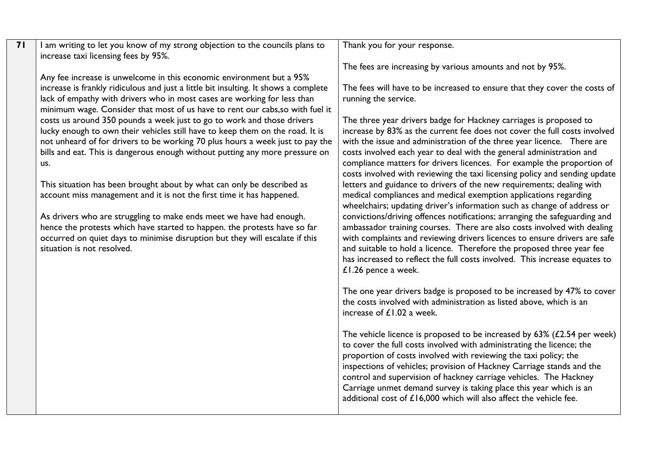| 7 I | I am writing to let you know of my strong objection to the councils plans to<br>increase taxi licensing fees by 95%.                                                                                                                                                                                                     | Thank you for your response.                                                                                                                                                                                                                                                                                                                                                                                                                                                                                         |
|-----|--------------------------------------------------------------------------------------------------------------------------------------------------------------------------------------------------------------------------------------------------------------------------------------------------------------------------|----------------------------------------------------------------------------------------------------------------------------------------------------------------------------------------------------------------------------------------------------------------------------------------------------------------------------------------------------------------------------------------------------------------------------------------------------------------------------------------------------------------------|
|     |                                                                                                                                                                                                                                                                                                                          | The fees are increasing by various amounts and not by 95%.                                                                                                                                                                                                                                                                                                                                                                                                                                                           |
|     | Any fee increase is unwelcome in this economic environment but a 95%<br>increase is frankly ridiculous and just a little bit insulting. It shows a complete<br>lack of empathy with drivers who in most cases are working for less than<br>minimum wage. Consider that most of us have to rent our cabs, so with fuel it | The fees will have to be increased to ensure that they cover the costs of<br>running the service.                                                                                                                                                                                                                                                                                                                                                                                                                    |
|     | costs us around 350 pounds a week just to go to work and those drivers<br>lucky enough to own their vehicles still have to keep them on the road. It is<br>not unheard of for drivers to be working 70 plus hours a week just to pay the<br>bills and eat. This is dangerous enough without putting any more pressure on | The three year drivers badge for Hackney carriages is proposed to<br>increase by 83% as the current fee does not cover the full costs involved<br>with the issue and administration of the three year licence. There are<br>costs involved each year to deal with the general administration and                                                                                                                                                                                                                     |
|     | us.<br>This situation has been brought about by what can only be described as<br>account miss management and it is not the first time it has happened.                                                                                                                                                                   | compliance matters for drivers licences. For example the proportion of<br>costs involved with reviewing the taxi licensing policy and sending update<br>letters and guidance to drivers of the new requirements; dealing with<br>medical compliances and medical exemption applications regarding<br>wheelchairs; updating driver's information such as change of address or                                                                                                                                         |
|     | As drivers who are struggling to make ends meet we have had enough.<br>hence the protests which have started to happen. the protests have so far<br>occurred on quiet days to minimise disruption but they will escalate if this<br>situation is not resolved.                                                           | convictions/driving offences notifications; arranging the safeguarding and<br>ambassador training courses. There are also costs involved with dealing<br>with complaints and reviewing drivers licences to ensure drivers are safe<br>and suitable to hold a licence. Therefore the proposed three year fee<br>has increased to reflect the full costs involved. This increase equates to<br>£1.26 pence a week.                                                                                                     |
|     |                                                                                                                                                                                                                                                                                                                          | The one year drivers badge is proposed to be increased by 47% to cover<br>the costs involved with administration as listed above, which is an<br>increase of $£1.02$ a week.                                                                                                                                                                                                                                                                                                                                         |
|     |                                                                                                                                                                                                                                                                                                                          | The vehicle licence is proposed to be increased by $63\%$ ( $£2.54$ per week)<br>to cover the full costs involved with administrating the licence; the<br>proportion of costs involved with reviewing the taxi policy; the<br>inspections of vehicles; provision of Hackney Carriage stands and the<br>control and supervision of hackney carriage vehicles. The Hackney<br>Carriage unmet demand survey is taking place this year which is an<br>additional cost of £16,000 which will also affect the vehicle fee. |
|     |                                                                                                                                                                                                                                                                                                                          |                                                                                                                                                                                                                                                                                                                                                                                                                                                                                                                      |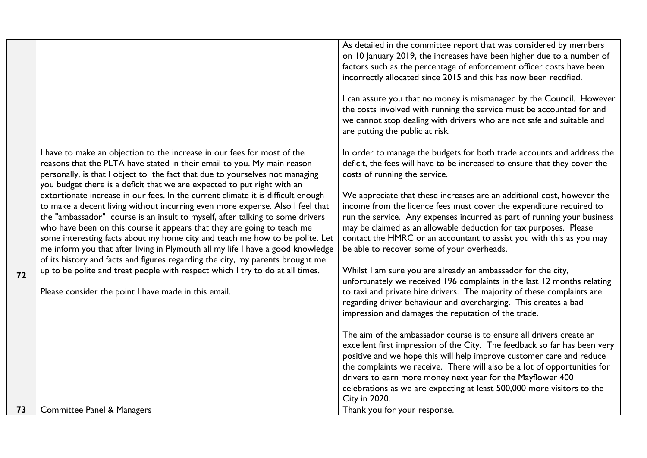|    |                                                                                                                                                                                                                                                                                                                                                                                                                                                                                                                                                                                                                                                                                                                                                                                                                                                                                                                                                                                                                                              | As detailed in the committee report that was considered by members<br>on 10 January 2019, the increases have been higher due to a number of<br>factors such as the percentage of enforcement officer costs have been<br>incorrectly allocated since 2015 and this has now been rectified.<br>I can assure you that no money is mismanaged by the Council. However<br>the costs involved with running the service must be accounted for and<br>we cannot stop dealing with drivers who are not safe and suitable and<br>are putting the public at risk.                                                                                                                                                                                                                                                                                                                                                                                                                                                                                                                                                                                                                                                                                                                                                                                                                                                                      |
|----|----------------------------------------------------------------------------------------------------------------------------------------------------------------------------------------------------------------------------------------------------------------------------------------------------------------------------------------------------------------------------------------------------------------------------------------------------------------------------------------------------------------------------------------------------------------------------------------------------------------------------------------------------------------------------------------------------------------------------------------------------------------------------------------------------------------------------------------------------------------------------------------------------------------------------------------------------------------------------------------------------------------------------------------------|-----------------------------------------------------------------------------------------------------------------------------------------------------------------------------------------------------------------------------------------------------------------------------------------------------------------------------------------------------------------------------------------------------------------------------------------------------------------------------------------------------------------------------------------------------------------------------------------------------------------------------------------------------------------------------------------------------------------------------------------------------------------------------------------------------------------------------------------------------------------------------------------------------------------------------------------------------------------------------------------------------------------------------------------------------------------------------------------------------------------------------------------------------------------------------------------------------------------------------------------------------------------------------------------------------------------------------------------------------------------------------------------------------------------------------|
| 72 | I have to make an objection to the increase in our fees for most of the<br>reasons that the PLTA have stated in their email to you. My main reason<br>personally, is that I object to the fact that due to yourselves not managing<br>you budget there is a deficit that we are expected to put right with an<br>extortionate increase in our fees. In the current climate it is difficult enough<br>to make a decent living without incurring even more expense. Also I feel that<br>the "ambassador" course is an insult to myself, after talking to some drivers<br>who have been on this course it appears that they are going to teach me<br>some interesting facts about my home city and teach me how to be polite. Let<br>me inform you that after living in Plymouth all my life I have a good knowledge<br>of its history and facts and figures regarding the city, my parents brought me<br>up to be polite and treat people with respect which I try to do at all times.<br>Please consider the point I have made in this email. | In order to manage the budgets for both trade accounts and address the<br>deficit, the fees will have to be increased to ensure that they cover the<br>costs of running the service.<br>We appreciate that these increases are an additional cost, however the<br>income from the licence fees must cover the expenditure required to<br>run the service. Any expenses incurred as part of running your business<br>may be claimed as an allowable deduction for tax purposes. Please<br>contact the HMRC or an accountant to assist you with this as you may<br>be able to recover some of your overheads.<br>Whilst I am sure you are already an ambassador for the city,<br>unfortunately we received 196 complaints in the last 12 months relating<br>to taxi and private hire drivers. The majority of these complaints are<br>regarding driver behaviour and overcharging. This creates a bad<br>impression and damages the reputation of the trade.<br>The aim of the ambassador course is to ensure all drivers create an<br>excellent first impression of the City. The feedback so far has been very<br>positive and we hope this will help improve customer care and reduce<br>the complaints we receive. There will also be a lot of opportunities for<br>drivers to earn more money next year for the Mayflower 400<br>celebrations as we are expecting at least 500,000 more visitors to the<br>City in 2020. |
| 73 | <b>Committee Panel &amp; Managers</b>                                                                                                                                                                                                                                                                                                                                                                                                                                                                                                                                                                                                                                                                                                                                                                                                                                                                                                                                                                                                        | Thank you for your response.                                                                                                                                                                                                                                                                                                                                                                                                                                                                                                                                                                                                                                                                                                                                                                                                                                                                                                                                                                                                                                                                                                                                                                                                                                                                                                                                                                                                |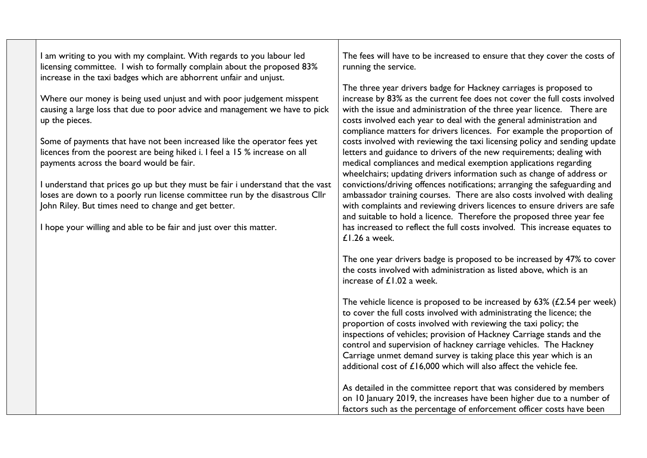I am writing to you with my complaint. With regards to you labour led licensing committee. I wish to formally complain about the proposed 83% increase in the taxi badges which are abhorrent unfair and unjust.

Where our money is being used unjust and with poor judgement misspent causing a large loss that due to poor advice and management we have to pick up the pieces.

Some of payments that have not been increased like the operator fees yet licences from the poorest are being hiked i. I feel a 15 % increase on all payments across the board would be fair.

I understand that prices go up but they must be fair i understand that the vast loses are down to a poorly run license committee run by the disastrous Cllr John Riley. But times need to change and get better.

I hope your willing and able to be fair and just over this matter.

The fees will have to be increased to ensure that they cover the costs of running the service.

The three year drivers badge for Hackney carriages is proposed to increase by 83% as the current fee does not cover the full costs involved with the issue and administration of the three year licence. There are costs involved each year to deal with the general administration and compliance matters for drivers licences. For example the proportion of costs involved with reviewing the taxi licensing policy and sending update letters and guidance to drivers of the new requirements; dealing with medical compliances and medical exemption applications regarding wheelchairs; updating drivers information such as change of address or convictions/driving offences notifications; arranging the safeguarding and ambassador training courses. There are also costs involved with dealing with complaints and reviewing drivers licences to ensure drivers are safe and suitable to hold a licence. Therefore the proposed three year fee has increased to reflect the full costs involved. This increase equates to £1.26 a week.

The one year drivers badge is proposed to be increased by 47% to cover the costs involved with administration as listed above, which is an increase of  $f1.02$  a week.

The vehicle licence is proposed to be increased by  $63\%$  ( $£2.54$  per week) to cover the full costs involved with administrating the licence; the proportion of costs involved with reviewing the taxi policy; the inspections of vehicles; provision of Hackney Carriage stands and the control and supervision of hackney carriage vehicles. The Hackney Carriage unmet demand survey is taking place this year which is an additional cost of  $£16,000$  which will also affect the vehicle fee.

As detailed in the committee report that was considered by members on 10 January 2019, the increases have been higher due to a number of factors such as the percentage of enforcement officer costs have been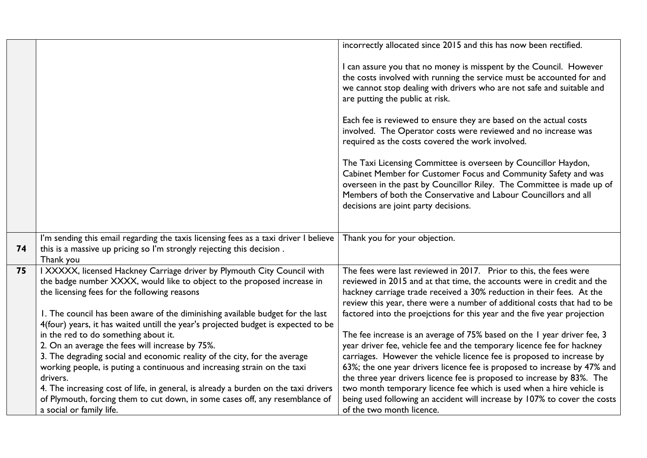|    |                                                                                                                                                                                                                                                                                                                                                                                                                                     | incorrectly allocated since 2015 and this has now been rectified.                                                                                                                                                                                                                                                                                                                                                                                                                                                                     |
|----|-------------------------------------------------------------------------------------------------------------------------------------------------------------------------------------------------------------------------------------------------------------------------------------------------------------------------------------------------------------------------------------------------------------------------------------|---------------------------------------------------------------------------------------------------------------------------------------------------------------------------------------------------------------------------------------------------------------------------------------------------------------------------------------------------------------------------------------------------------------------------------------------------------------------------------------------------------------------------------------|
|    |                                                                                                                                                                                                                                                                                                                                                                                                                                     | I can assure you that no money is misspent by the Council. However<br>the costs involved with running the service must be accounted for and<br>we cannot stop dealing with drivers who are not safe and suitable and<br>are putting the public at risk.                                                                                                                                                                                                                                                                               |
|    |                                                                                                                                                                                                                                                                                                                                                                                                                                     | Each fee is reviewed to ensure they are based on the actual costs<br>involved. The Operator costs were reviewed and no increase was<br>required as the costs covered the work involved.                                                                                                                                                                                                                                                                                                                                               |
|    |                                                                                                                                                                                                                                                                                                                                                                                                                                     | The Taxi Licensing Committee is overseen by Councillor Haydon,<br>Cabinet Member for Customer Focus and Community Safety and was<br>overseen in the past by Councillor Riley. The Committee is made up of<br>Members of both the Conservative and Labour Councillors and all<br>decisions are joint party decisions.                                                                                                                                                                                                                  |
| 74 | I'm sending this email regarding the taxis licensing fees as a taxi driver I believe<br>this is a massive up pricing so I'm strongly rejecting this decision.<br>Thank you                                                                                                                                                                                                                                                          | Thank you for your objection.                                                                                                                                                                                                                                                                                                                                                                                                                                                                                                         |
| 75 | I XXXXX, licensed Hackney Carriage driver by Plymouth City Council with<br>the badge number XXXX, would like to object to the proposed increase in<br>the licensing fees for the following reasons<br>I. The council has been aware of the diminishing available budget for the last<br>4(four) years, it has waited untill the year's projected budget is expected to be                                                           | The fees were last reviewed in 2017. Prior to this, the fees were<br>reviewed in 2015 and at that time, the accounts were in credit and the<br>hackney carriage trade received a 30% reduction in their fees. At the<br>review this year, there were a number of additional costs that had to be<br>factored into the proejctions for this year and the five year projection                                                                                                                                                          |
|    | in the red to do something about it.<br>2. On an average the fees will increase by 75%.<br>3. The degrading social and economic reality of the city, for the average<br>working people, is puting a continuous and increasing strain on the taxi<br>drivers.<br>4. The increasing cost of life, in general, is already a burden on the taxi drivers<br>of Plymouth, forcing them to cut down, in some cases off, any resemblance of | The fee increase is an average of 75% based on the I year driver fee, 3<br>year driver fee, vehicle fee and the temporary licence fee for hackney<br>carriages. However the vehicle licence fee is proposed to increase by<br>63%; the one year drivers licence fee is proposed to increase by 47% and<br>the three year drivers licence fee is proposed to increase by 83%. The<br>two month temporary licence fee which is used when a hire vehicle is<br>being used following an accident will increase by 107% to cover the costs |
|    | a social or family life.                                                                                                                                                                                                                                                                                                                                                                                                            | of the two month licence.                                                                                                                                                                                                                                                                                                                                                                                                                                                                                                             |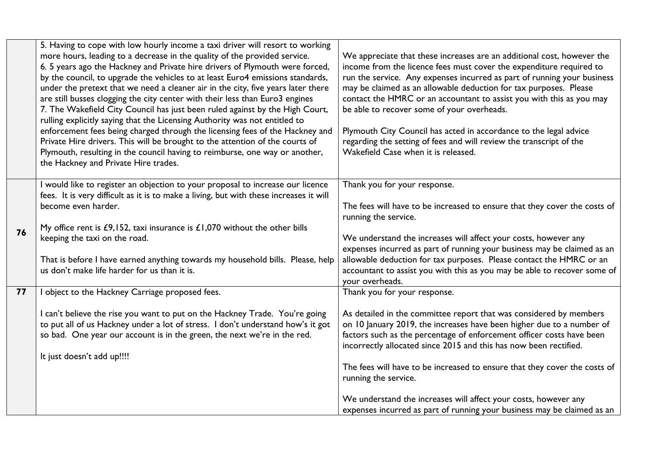|    | 5. Having to cope with low hourly income a taxi driver will resort to working<br>more hours, leading to a decrease in the quality of the provided service.<br>6. 5 years ago the Hackney and Private hire drivers of Plymouth were forced,<br>by the council, to upgrade the vehicles to at least Euro4 emissions standards,<br>under the pretext that we need a cleaner air in the city, five years later there<br>are still busses clogging the city center with their less than Euro3 engines<br>7. The Wakefield City Council has just been ruled against by the High Court,<br>rulling explicitly saying that the Licensing Authority was not entitled to<br>enforcement fees being charged through the licensing fees of the Hackney and<br>Private Hire drivers. This will be brought to the attention of the courts of<br>Plymouth, resulting in the council having to reimburse, one way or another,<br>the Hackney and Private Hire trades. | We appreciate that these increases are an additional cost, however the<br>income from the licence fees must cover the expenditure required to<br>run the service. Any expenses incurred as part of running your business<br>may be claimed as an allowable deduction for tax purposes. Please<br>contact the HMRC or an accountant to assist you with this as you may<br>be able to recover some of your overheads.<br>Plymouth City Council has acted in accordance to the legal advice<br>regarding the setting of fees and will review the transcript of the<br>Wakefield Case when it is released. |
|----|-------------------------------------------------------------------------------------------------------------------------------------------------------------------------------------------------------------------------------------------------------------------------------------------------------------------------------------------------------------------------------------------------------------------------------------------------------------------------------------------------------------------------------------------------------------------------------------------------------------------------------------------------------------------------------------------------------------------------------------------------------------------------------------------------------------------------------------------------------------------------------------------------------------------------------------------------------|--------------------------------------------------------------------------------------------------------------------------------------------------------------------------------------------------------------------------------------------------------------------------------------------------------------------------------------------------------------------------------------------------------------------------------------------------------------------------------------------------------------------------------------------------------------------------------------------------------|
| 76 | I would like to register an objection to your proposal to increase our licence<br>fees. It is very difficult as it is to make a living, but with these increases it will<br>become even harder.<br>My office rent is £9,152, taxi insurance is £1,070 without the other bills<br>keeping the taxi on the road.<br>That is before I have earned anything towards my household bills. Please, help<br>us don't make life harder for us than it is.                                                                                                                                                                                                                                                                                                                                                                                                                                                                                                      | Thank you for your response.<br>The fees will have to be increased to ensure that they cover the costs of<br>running the service.<br>We understand the increases will affect your costs, however any<br>expenses incurred as part of running your business may be claimed as an<br>allowable deduction for tax purposes. Please contact the HMRC or an<br>accountant to assist you with this as you may be able to recover some of<br>your overheads.                                                                                                                                                  |
| 77 | I object to the Hackney Carriage proposed fees.<br>I can't believe the rise you want to put on the Hackney Trade. You're going<br>to put all of us Hackney under a lot of stress. I don't understand how's it got<br>so bad. One year our account is in the green, the next we're in the red.<br>It just doesn't add up!!!!                                                                                                                                                                                                                                                                                                                                                                                                                                                                                                                                                                                                                           | Thank you for your response.<br>As detailed in the committee report that was considered by members<br>on 10 January 2019, the increases have been higher due to a number of<br>factors such as the percentage of enforcement officer costs have been<br>incorrectly allocated since 2015 and this has now been rectified.<br>The fees will have to be increased to ensure that they cover the costs of<br>running the service.<br>We understand the increases will affect your costs, however any<br>expenses incurred as part of running your business may be claimed as an                           |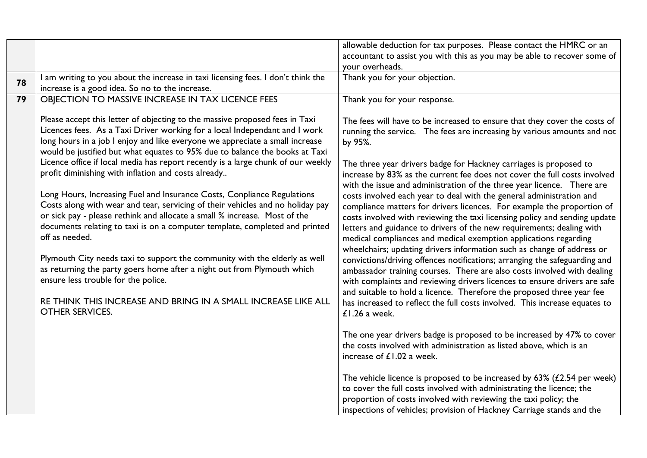|    |                                                                                                                                                                                                                                                                                                                                         | allowable deduction for tax purposes. Please contact the HMRC or an<br>accountant to assist you with this as you may be able to recover some of<br>your overheads.                                                                                                                                                                                                                    |
|----|-----------------------------------------------------------------------------------------------------------------------------------------------------------------------------------------------------------------------------------------------------------------------------------------------------------------------------------------|---------------------------------------------------------------------------------------------------------------------------------------------------------------------------------------------------------------------------------------------------------------------------------------------------------------------------------------------------------------------------------------|
| 78 | I am writing to you about the increase in taxi licensing fees. I don't think the<br>increase is a good idea. So no to the increase.                                                                                                                                                                                                     | Thank you for your objection.                                                                                                                                                                                                                                                                                                                                                         |
| 79 | OBJECTION TO MASSIVE INCREASE IN TAX LICENCE FEES                                                                                                                                                                                                                                                                                       | Thank you for your response.                                                                                                                                                                                                                                                                                                                                                          |
|    | Please accept this letter of objecting to the massive proposed fees in Taxi<br>Licences fees. As a Taxi Driver working for a local Independant and I work<br>long hours in a job I enjoy and like everyone we appreciate a small increase<br>would be justified but what equates to 95% due to balance the books at Taxi                | The fees will have to be increased to ensure that they cover the costs of<br>running the service. The fees are increasing by various amounts and not<br>by 95%.                                                                                                                                                                                                                       |
|    | Licence office if local media has report recently is a large chunk of our weekly<br>profit diminishing with inflation and costs already                                                                                                                                                                                                 | The three year drivers badge for Hackney carriages is proposed to<br>increase by 83% as the current fee does not cover the full costs involved<br>with the issue and administration of the three year licence. There are                                                                                                                                                              |
|    | Long Hours, Increasing Fuel and Insurance Costs, Conpliance Regulations<br>Costs along with wear and tear, servicing of their vehicles and no holiday pay<br>or sick pay - please rethink and allocate a small % increase. Most of the<br>documents relating to taxi is on a computer template, completed and printed<br>off as needed. | costs involved each year to deal with the general administration and<br>compliance matters for drivers licences. For example the proportion of<br>costs involved with reviewing the taxi licensing policy and sending update<br>letters and guidance to drivers of the new requirements; dealing with<br>medical compliances and medical exemption applications regarding             |
|    | Plymouth City needs taxi to support the community with the elderly as well<br>as returning the party goers home after a night out from Plymouth which<br>ensure less trouble for the police.                                                                                                                                            | wheelchairs; updating drivers information such as change of address or<br>convictions/driving offences notifications; arranging the safeguarding and<br>ambassador training courses. There are also costs involved with dealing<br>with complaints and reviewing drivers licences to ensure drivers are safe<br>and suitable to hold a licence. Therefore the proposed three year fee |
|    | RE THINK THIS INCREASE AND BRING IN A SMALL INCREASE LIKE ALL<br><b>OTHER SERVICES.</b>                                                                                                                                                                                                                                                 | has increased to reflect the full costs involved. This increase equates to<br>£1.26 a week.                                                                                                                                                                                                                                                                                           |
|    |                                                                                                                                                                                                                                                                                                                                         | The one year drivers badge is proposed to be increased by 47% to cover<br>the costs involved with administration as listed above, which is an<br>increase of £1.02 a week.                                                                                                                                                                                                            |
|    |                                                                                                                                                                                                                                                                                                                                         | The vehicle licence is proposed to be increased by $63\%$ (£2.54 per week)<br>to cover the full costs involved with administrating the licence; the<br>proportion of costs involved with reviewing the taxi policy; the<br>inspections of vehicles; provision of Hackney Carriage stands and the                                                                                      |